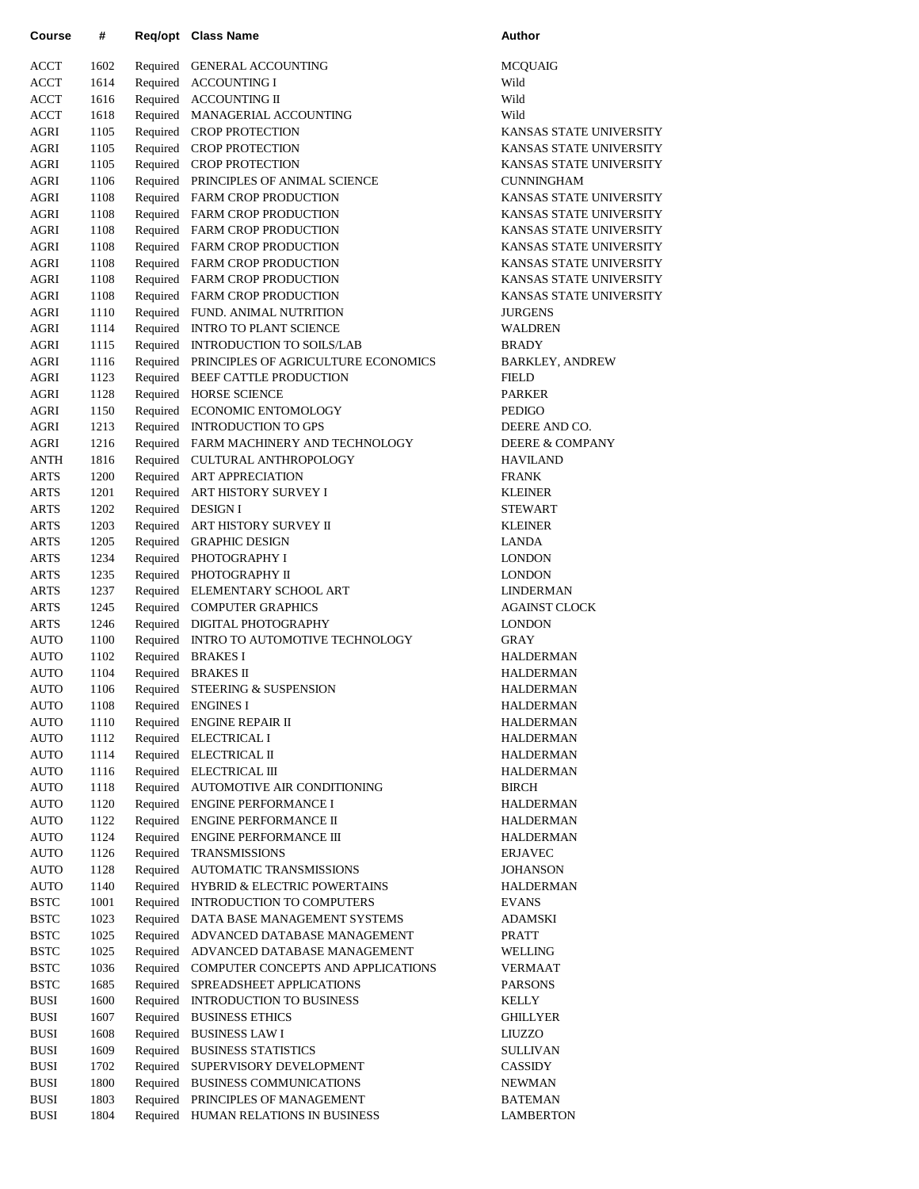| Course                     | #            | Req/opt              | Class Name                                                          | Author                            |
|----------------------------|--------------|----------------------|---------------------------------------------------------------------|-----------------------------------|
| <b>ACCT</b>                | 1602         |                      | Required GENERAL ACCOUNTING                                         | MCQUAIG                           |
| <b>ACCT</b>                | 1614         | Required             | <b>ACCOUNTING I</b>                                                 | Wild                              |
| ACCT                       | 1616         |                      | Required ACCOUNTING II                                              | Wild                              |
| ACCT                       | 1618         |                      | Required MANAGERIAL ACCOUNTING                                      | Wild                              |
| AGRI                       | 1105         |                      | Required CROP PROTECTION                                            | <b>KANSAS S'</b>                  |
| AGRI                       | 1105         |                      | Required CROP PROTECTION                                            | <b>KANSAS S'</b>                  |
| AGRI                       | 1105         |                      | Required CROP PROTECTION                                            | <b>KANSAS S'</b>                  |
| AGRI                       | 1106         |                      | Required PRINCIPLES OF ANIMAL SCIENCE                               | <b>CUNNINGH</b>                   |
| AGRI                       | 1108         |                      | Required FARM CROP PRODUCTION                                       | <b>KANSAS S'</b>                  |
| AGRI                       | 1108         |                      | Required FARM CROP PRODUCTION                                       | <b>KANSAS S'</b>                  |
| AGRI                       | 1108         |                      | Required FARM CROP PRODUCTION                                       | <b>KANSAS S'</b>                  |
| AGRI                       | 1108         |                      | Required FARM CROP PRODUCTION                                       | <b>KANSAS S'</b>                  |
| AGRI                       | 1108         |                      | Required FARM CROP PRODUCTION                                       | <b>KANSAS S'</b>                  |
| AGRI                       | 1108         |                      | Required FARM CROP PRODUCTION                                       | <b>KANSAS S'</b>                  |
| AGRI                       | 1108         |                      | Required FARM CROP PRODUCTION                                       | <b>KANSAS S'</b>                  |
| AGRI                       | 1110         |                      | Required FUND. ANIMAL NUTRITION                                     | <b>JURGENS</b><br><b>WALDREN</b>  |
| AGRI<br>AGRI               | 1114<br>1115 | Required             | Required INTRO TO PLANT SCIENCE<br><b>INTRODUCTION TO SOILS/LAB</b> | <b>BRADY</b>                      |
| <b>AGRI</b>                | 1116         | Required             | PRINCIPLES OF AGRICULTURE ECONOMICS                                 | BARKLEY,                          |
| AGRI                       | 1123         | Required             | BEEF CATTLE PRODUCTION                                              | <b>FIELD</b>                      |
| AGRI                       | 1128         | Required             | <b>HORSE SCIENCE</b>                                                | <b>PARKER</b>                     |
| <b>AGRI</b>                | 1150         |                      | Required ECONOMIC ENTOMOLOGY                                        | <b>PEDIGO</b>                     |
| <b>AGRI</b>                | 1213         |                      | Required INTRODUCTION TO GPS                                        | <b>DEERE AN</b>                   |
| AGRI                       | 1216         |                      | Required FARM MACHINERY AND TECHNOLOGY                              | DEERE & C                         |
| ANTH                       | 1816         | Required             | CULTURAL ANTHROPOLOGY                                               | <b>HAVILAND</b>                   |
| ARTS                       | 1200         | Required             | <b>ART APPRECIATION</b>                                             | <b>FRANK</b>                      |
| <b>ARTS</b>                | 1201         |                      | Required ART HISTORY SURVEY I                                       | <b>KLEINER</b>                    |
| ARTS                       | 1202         |                      | Required DESIGN I                                                   | <b>STEWART</b>                    |
| <b>ARTS</b>                | 1203         |                      | Required ART HISTORY SURVEY II                                      | <b>KLEINER</b>                    |
| <b>ARTS</b>                | 1205         |                      | Required GRAPHIC DESIGN                                             | <b>LANDA</b>                      |
| <b>ARTS</b>                | 1234         |                      | Required PHOTOGRAPHY I                                              | <b>LONDON</b>                     |
| <b>ARTS</b>                | 1235         |                      | Required PHOTOGRAPHY II                                             | <b>LONDON</b>                     |
| <b>ARTS</b>                | 1237         |                      | Required ELEMENTARY SCHOOL ART                                      | <b>LINDERMA</b>                   |
| <b>ARTS</b>                | 1245         |                      | Required COMPUTER GRAPHICS                                          | <b>AGAINST C</b>                  |
| <b>ARTS</b>                | 1246         |                      | Required DIGITAL PHOTOGRAPHY                                        | <b>LONDON</b>                     |
| <b>AUTO</b>                | 1100         | Required             | INTRO TO AUTOMOTIVE TECHNOLOGY                                      | <b>GRAY</b>                       |
| <b>AUTO</b>                | 1102         |                      | Required BRAKES I                                                   | HALDERM                           |
| AUTO                       | 1104         |                      | Required BRAKES II                                                  | <b>HALDERM</b>                    |
| AUTO                       | 1106         |                      | Required STEERING & SUSPENSION                                      | HALDERM                           |
| <b>AUTO</b>                | 1108         |                      | Required ENGINES I                                                  | <b>HALDERM</b>                    |
| AUTO                       | 1110         |                      | Required ENGINE REPAIR II                                           | <b>HALDERM</b>                    |
| <b>AUTO</b>                | 1112         |                      | Required ELECTRICAL I                                               | <b>HALDERM</b>                    |
| AUTO                       | 1114         | Required             | ELECTRICAL II                                                       | <b>HALDERM</b>                    |
| AUTO                       | 1116         | Required             | ELECTRICAL III                                                      | <b>HALDERM</b>                    |
| <b>AUTO</b>                | 1118         | Required             | AUTOMOTIVE AIR CONDITIONING                                         | <b>BIRCH</b>                      |
| AUTO                       | 1120         | Required             | <b>ENGINE PERFORMANCE I</b>                                         | <b>HALDERM</b>                    |
| <b>AUTO</b>                | 1122         | Required             | <b>ENGINE PERFORMANCE II</b>                                        | <b>HALDERM</b>                    |
| <b>AUTO</b>                | 1124         | Required             | <b>ENGINE PERFORMANCE III</b>                                       | <b>HALDERM</b>                    |
| AUTO                       | 1126         | Required             | <b>TRANSMISSIONS</b>                                                | <b>ERJAVEC</b>                    |
| <b>AUTO</b><br><b>AUTO</b> | 1128<br>1140 | Required<br>Required | AUTOMATIC TRANSMISSIONS<br><b>HYBRID &amp; ELECTRIC POWERTAINS</b>  | <b>JOHANSON</b><br><b>HALDERM</b> |
| <b>BSTC</b>                | 1001         | Required             | <b>INTRODUCTION TO COMPUTERS</b>                                    | <b>EVANS</b>                      |
| <b>BSTC</b>                | 1023         | Required             | DATA BASE MANAGEMENT SYSTEMS                                        | ADAMSKI                           |
| <b>BSTC</b>                | 1025         | Required             | ADVANCED DATABASE MANAGEMENT                                        | <b>PRATT</b>                      |
| <b>BSTC</b>                | 1025         | Required             | ADVANCED DATABASE MANAGEMENT                                        | WELLING                           |
| <b>BSTC</b>                | 1036         | Required             | COMPUTER CONCEPTS AND APPLICATIONS                                  | VERMAAT                           |
| <b>BSTC</b>                | 1685         | Required             | SPREADSHEET APPLICATIONS                                            | <b>PARSONS</b>                    |
| BUSI                       | 1600         | Required             | INTRODUCTION TO BUSINESS                                            | KELLY                             |
| <b>BUSI</b>                | 1607         | Required             | <b>BUSINESS ETHICS</b>                                              | <b>GHILLYER</b>                   |
| <b>BUSI</b>                | 1608         | Required             | <b>BUSINESS LAW I</b>                                               | LIUZZO                            |
| <b>BUSI</b>                | 1609         | Required             | <b>BUSINESS STATISTICS</b>                                          | <b>SULLIVAN</b>                   |
| <b>BUSI</b>                | 1702         | Required             | SUPERVISORY DEVELOPMENT                                             | CASSIDY                           |
| BUSI                       | 1800         | Required             | <b>BUSINESS COMMUNICATIONS</b>                                      | NEWMAN                            |
| <b>BUSI</b>                | 1803         | Required             | PRINCIPLES OF MANAGEMENT                                            | <b>BATEMAN</b>                    |
| <b>BUSI</b>                | 1804         | Required             | HUMAN RELATIONS IN BUSINESS                                         | <b>LAMBERT</b>                    |

MCQUAIG KANSAS STATE UNIVERSITY KANSAS STATE UNIVERSITY KANSAS STATE UNIVERSITY CUNNINGHAM KANSAS STATE UNIVERSITY KANSAS STATE UNIVERSITY KANSAS STATE UNIVERSITY KANSAS STATE UNIVERSITY KANSAS STATE UNIVERSITY KANSAS STATE UNIVERSITY KANSAS STATE UNIVERSITY JURGENS WALDREN BARKLEY, ANDREW DEERE AND CO. DEERE & COMPANY HAVILAND LINDERMAN AGAINST CLOCK **HALDERMAN HALDERMAN** HALDERMAN **HALDERMAN** HALDERMAN HALDERMAN HALDERMAN HALDERMAN HALDERMAN HALDERMAN HALDERMAN JOHANSON HALDERMAN ADAMSKI **GHILLYER** SULLIVAN BATEMAN LAMBERTON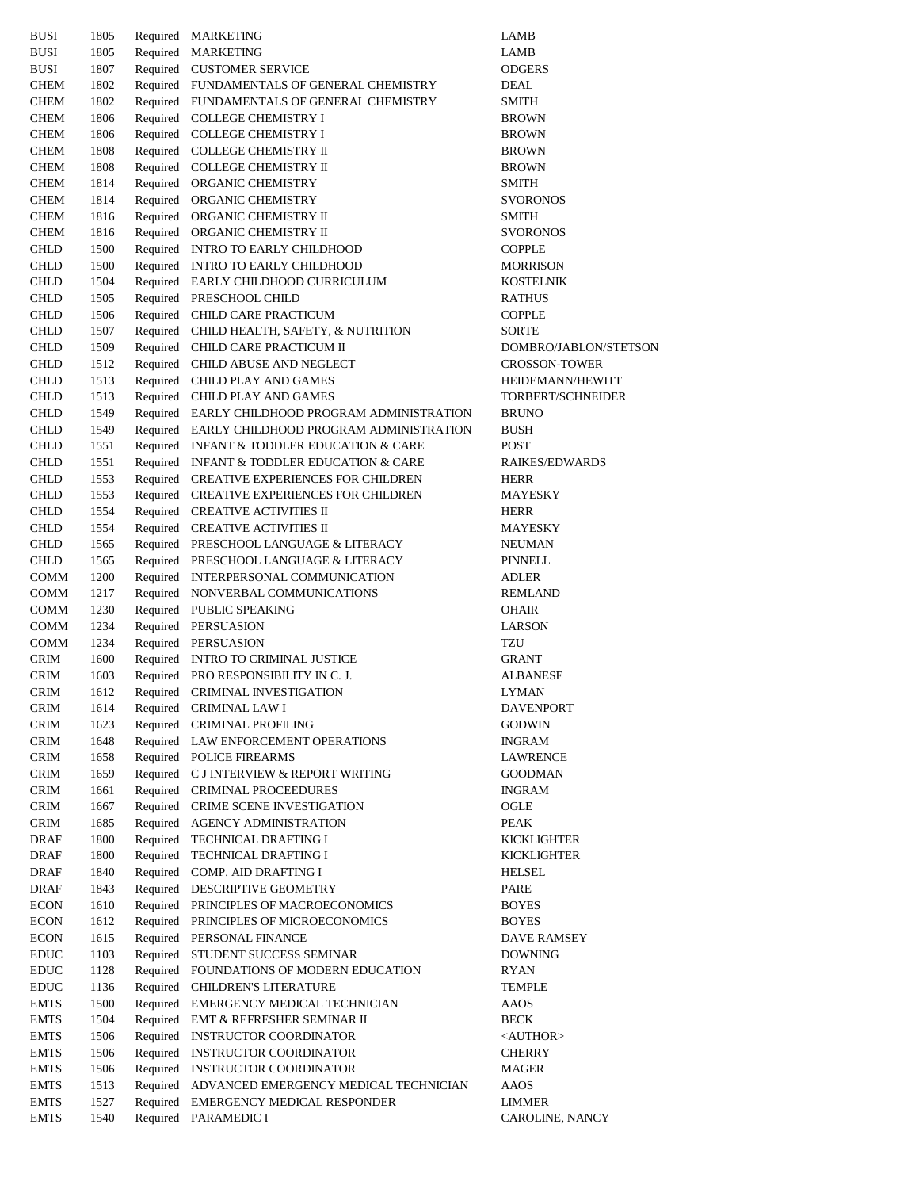| <b>BUSI</b>                  | 1805         |          | Required MARKETING                                                     | LAMB                            |
|------------------------------|--------------|----------|------------------------------------------------------------------------|---------------------------------|
| <b>BUSI</b>                  | 1805         |          | Required MARKETING                                                     | LAMB                            |
| BUSI                         | 1807         |          | Required CUSTOMER SERVICE                                              | <b>ODGERS</b>                   |
| CHEM                         | 1802         |          | Required FUNDAMENTALS OF GENERAL CHEMISTRY                             | DEAL                            |
| <b>CHEM</b>                  | 1802         |          | Required FUNDAMENTALS OF GENERAL CHEMISTRY                             | SMITH                           |
| <b>CHEM</b>                  | 1806         |          | Required COLLEGE CHEMISTRY I                                           | <b>BROWN</b>                    |
| <b>CHEM</b>                  | 1806         |          | Required COLLEGE CHEMISTRY I                                           | <b>BROWN</b>                    |
| <b>CHEM</b>                  | 1808         |          | Required COLLEGE CHEMISTRY II                                          | <b>BROWN</b>                    |
| CHEM                         | 1808         |          | Required COLLEGE CHEMISTRY II                                          | <b>BROWN</b>                    |
| CHEM                         | 1814         |          | Required ORGANIC CHEMISTRY                                             | SMITH                           |
| <b>CHEM</b>                  | 1814         |          | Required ORGANIC CHEMISTRY                                             | <b>SVORONOS</b>                 |
| <b>CHEM</b><br><b>CHEM</b>   | 1816<br>1816 |          | Required ORGANIC CHEMISTRY II<br>Required ORGANIC CHEMISTRY II         | <b>SMITH</b><br><b>SVORONOS</b> |
| <b>CHLD</b>                  | 1500         |          | Required INTRO TO EARLY CHILDHOOD                                      | <b>COPPLE</b>                   |
| CHLD                         | 1500         |          | Required INTRO TO EARLY CHILDHOOD                                      | <b>MORRISON</b>                 |
| CHLD                         | 1504         |          | Required EARLY CHILDHOOD CURRICULUM                                    | <b>KOSTELNIK</b>                |
| <b>CHLD</b>                  | 1505         |          | Required PRESCHOOL CHILD                                               | RATHUS                          |
| <b>CHLD</b>                  | 1506         |          | Required CHILD CARE PRACTICUM                                          | <b>COPPLE</b>                   |
| <b>CHLD</b>                  | 1507         |          | Required CHILD HEALTH, SAFETY, & NUTRITION                             | <b>SORTE</b>                    |
| <b>CHLD</b>                  | 1509         |          | Required CHILD CARE PRACTICUM II                                       | DOMBRO/JABLON/STETSON           |
| CHLD                         | 1512         |          | Required CHILD ABUSE AND NEGLECT                                       | <b>CROSSON-TOWER</b>            |
| CHLD                         | 1513         |          | Required CHILD PLAY AND GAMES                                          | HEIDEMANN/HEWITT                |
| CHLD                         | 1513         |          | Required CHILD PLAY AND GAMES                                          | TORBERT/SCHNEIDER               |
| <b>CHLD</b>                  | 1549         |          | Required EARLY CHILDHOOD PROGRAM ADMINISTRATION                        | <b>BRUNO</b>                    |
| <b>CHLD</b>                  | 1549         |          | Required EARLY CHILDHOOD PROGRAM ADMINISTRATION                        | BUSH                            |
| CHLD                         | 1551         |          | Required INFANT & TODDLER EDUCATION & CARE                             | POST                            |
| <b>CHLD</b>                  | 1551         |          | Required INFANT & TODDLER EDUCATION & CARE                             | <b>RAIKES/EDWARDS</b>           |
| <b>CHLD</b>                  | 1553         |          | Required CREATIVE EXPERIENCES FOR CHILDREN                             | HERR                            |
| <b>CHLD</b>                  | 1553         |          | Required CREATIVE EXPERIENCES FOR CHILDREN                             | MAYESKY                         |
| <b>CHLD</b>                  | 1554         |          | Required CREATIVE ACTIVITIES II                                        | HERR                            |
| <b>CHLD</b>                  | 1554         |          | Required CREATIVE ACTIVITIES II                                        | MAYESKY                         |
| CHLD                         | 1565         |          | Required PRESCHOOL LANGUAGE & LITERACY                                 | NEUMAN                          |
| CHLD                         | 1565         |          | Required PRESCHOOL LANGUAGE & LITERACY                                 | PINNELL                         |
| <b>COMM</b>                  | 1200         |          | Required INTERPERSONAL COMMUNICATION                                   | <b>ADLER</b>                    |
| <b>COMM</b><br><b>COMM</b>   | 1217<br>1230 |          | Required NONVERBAL COMMUNICATIONS<br>Required PUBLIC SPEAKING          | <b>REMLAND</b><br><b>OHAIR</b>  |
| COMM                         | 1234         |          | Required PERSUASION                                                    | LARSON                          |
| COMM                         | 1234         |          | Required PERSUASION                                                    | TZU                             |
| <b>CRIM</b>                  | 1600         |          | Required INTRO TO CRIMINAL JUSTICE                                     | GRANT                           |
| <b>CRIM</b>                  | 1603         |          | Required PRO RESPONSIBILITY IN C. J.                                   | <b>ALBANESE</b>                 |
| CRIM                         | 1612         |          | Required CRIMINAL INVESTIGATION                                        | <b>LYMAN</b>                    |
| <b>CRIM</b>                  | 1614         |          | Required CRIMINAL LAW I                                                | <b>DAVENPORT</b>                |
| <b>CRIM</b>                  | 1623         | Required | <b>CRIMINAL PROFILING</b>                                              | <b>GODWIN</b>                   |
| <b>CRIM</b>                  | 1648         |          | Required LAW ENFORCEMENT OPERATIONS                                    | INGRAM                          |
| $\mathop{\rm CRIM}\nolimits$ | 1658         |          | Required POLICE FIREARMS                                               | LAWRENCE                        |
| <b>CRIM</b>                  | 1659         |          | Required C J INTERVIEW & REPORT WRITING                                | GOODMAN                         |
| <b>CRIM</b>                  | 1661         |          | Required CRIMINAL PROCEEDURES                                          | <b>INGRAM</b>                   |
| <b>CRIM</b>                  | 1667         |          | Required CRIME SCENE INVESTIGATION                                     | OGLE                            |
| <b>CRIM</b>                  | 1685         |          | Required AGENCY ADMINISTRATION                                         | PEAK                            |
| DRAF                         | 1800         |          | Required TECHNICAL DRAFTING I                                          | <b>KICKLIGHTER</b>              |
| DRAF                         | 1800         |          | Required TECHNICAL DRAFTING I                                          | KICKLIGHTER                     |
| <b>DRAF</b>                  | 1840         |          | Required COMP. AID DRAFTING I                                          | <b>HELSEL</b>                   |
| <b>DRAF</b>                  | 1843         |          | Required DESCRIPTIVE GEOMETRY<br>Required PRINCIPLES OF MACROECONOMICS | PARE                            |
| <b>ECON</b><br><b>ECON</b>   | 1610<br>1612 |          | Required PRINCIPLES OF MICROECONOMICS                                  | <b>BOYES</b><br><b>BOYES</b>    |
| <b>ECON</b>                  | 1615         |          | Required PERSONAL FINANCE                                              | DAVE RAMSEY                     |
| <b>EDUC</b>                  | 1103         |          | Required STUDENT SUCCESS SEMINAR                                       | <b>DOWNING</b>                  |
| <b>EDUC</b>                  | 1128         |          | Required FOUNDATIONS OF MODERN EDUCATION                               | RYAN                            |
| <b>EDUC</b>                  | 1136         |          | Required CHILDREN'S LITERATURE                                         | TEMPLE                          |
| <b>EMTS</b>                  | 1500         |          | Required EMERGENCY MEDICAL TECHNICIAN                                  | AAOS                            |
| <b>EMTS</b>                  | 1504         |          | Required EMT & REFRESHER SEMINAR II                                    | BECK                            |
| <b>EMTS</b>                  | 1506         |          | Required INSTRUCTOR COORDINATOR                                        | <author></author>               |
| <b>EMTS</b>                  | 1506         |          | Required INSTRUCTOR COORDINATOR                                        | <b>CHERRY</b>                   |
| <b>EMTS</b>                  | 1506         |          | Required INSTRUCTOR COORDINATOR                                        | MAGER                           |
| <b>EMTS</b>                  | 1513         |          | Required ADVANCED EMERGENCY MEDICAL TECHNICIAN                         | AAOS                            |
| <b>EMTS</b>                  | 1527         |          | Required EMERGENCY MEDICAL RESPONDER                                   | LIMMER                          |
| EMTS                         | 1540         |          | Required PARAMEDIC I                                                   | CAROLINE, NANCY                 |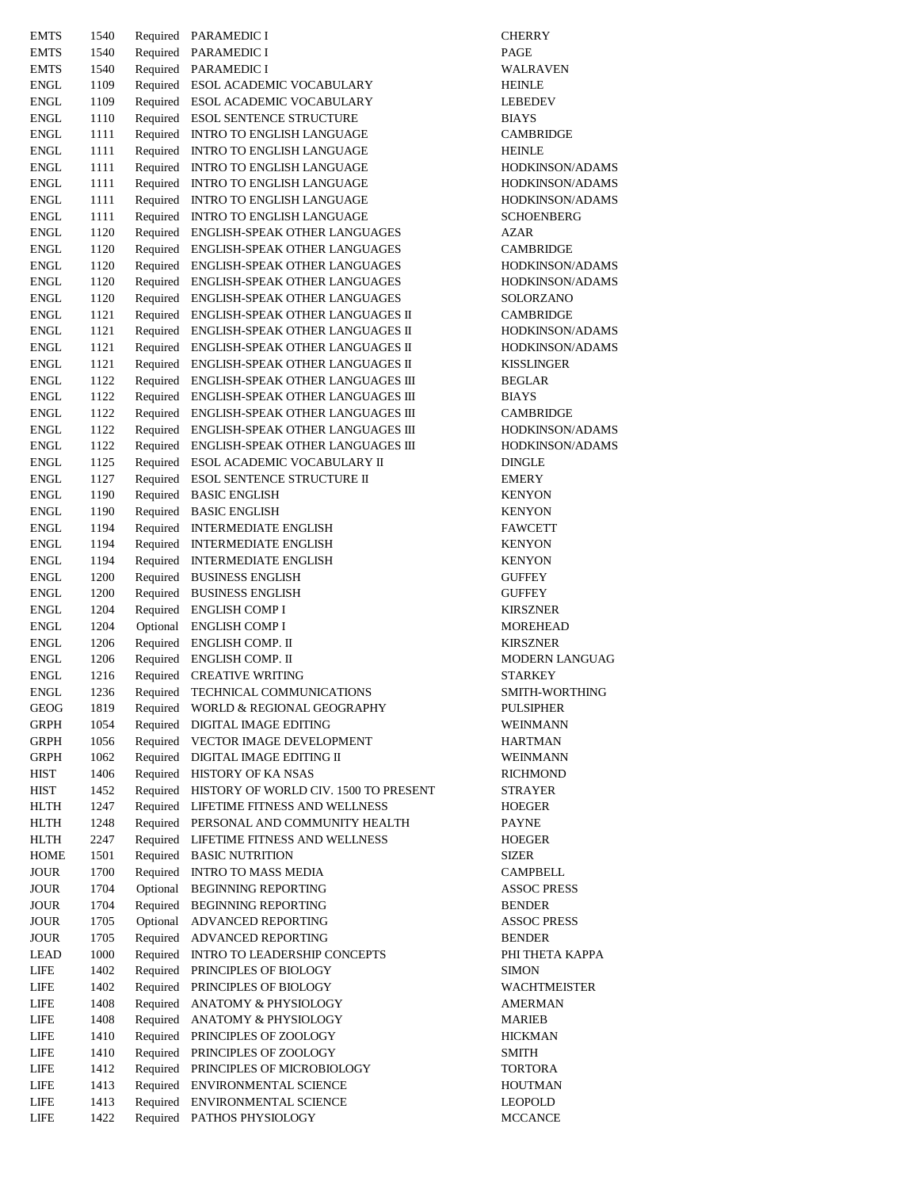| <b>EMTS</b>                | 1540         |                      | Required PARAMEDIC I                                           | <b>CHERRY</b>                      |
|----------------------------|--------------|----------------------|----------------------------------------------------------------|------------------------------------|
| <b>EMTS</b>                | 1540         |                      | Required PARAMEDIC I                                           | PAGE                               |
| <b>EMTS</b>                | 1540         | Required             | PARAMEDIC I                                                    | WALRAVE                            |
| <b>ENGL</b>                | 1109         |                      | Required ESOL ACADEMIC VOCABULARY                              | <b>HEINLE</b>                      |
| <b>ENGL</b>                | 1109         |                      | Required ESOL ACADEMIC VOCABULARY                              | <b>LEBEDEV</b>                     |
| <b>ENGL</b>                | 1110         |                      | Required ESOL SENTENCE STRUCTURE                               | <b>BIAYS</b>                       |
| <b>ENGL</b>                | 1111         |                      | Required INTRO TO ENGLISH LANGUAGE                             | <b>CAMBRIDO</b>                    |
| <b>ENGL</b>                | 1111         | Required             | INTRO TO ENGLISH LANGUAGE                                      | <b>HEINLE</b>                      |
| <b>ENGL</b>                | 1111         | Required             | INTRO TO ENGLISH LANGUAGE                                      | <b>HODKINSC</b>                    |
| <b>ENGL</b>                | 1111         | Required             | INTRO TO ENGLISH LANGUAGE                                      | <b>HODKINSC</b>                    |
| <b>ENGL</b>                | 1111         | Required             | INTRO TO ENGLISH LANGUAGE                                      | <b>HODKINSC</b>                    |
| <b>ENGL</b>                | 1111         | Required             | INTRO TO ENGLISH LANGUAGE                                      | <b>SCHOENBI</b>                    |
| <b>ENGL</b>                | 1120         | Required             | ENGLISH-SPEAK OTHER LANGUAGES                                  | <b>AZAR</b>                        |
| <b>ENGL</b><br><b>ENGL</b> | 1120<br>1120 | Required<br>Required | ENGLISH-SPEAK OTHER LANGUAGES<br>ENGLISH-SPEAK OTHER LANGUAGES | <b>CAMBRIDO</b><br><b>HODKINSC</b> |
| <b>ENGL</b>                | 1120         | Required             | ENGLISH-SPEAK OTHER LANGUAGES                                  | <b>HODKINSC</b>                    |
| <b>ENGL</b>                | 1120         | Required             | ENGLISH-SPEAK OTHER LANGUAGES                                  | SOLORZAN                           |
| <b>ENGL</b>                | 1121         | Required             | ENGLISH-SPEAK OTHER LANGUAGES II                               | <b>CAMBRIDO</b>                    |
| <b>ENGL</b>                | 1121         | Required             | ENGLISH-SPEAK OTHER LANGUAGES II                               | <b>HODKINSC</b>                    |
| <b>ENGL</b>                | 1121         | Required             | ENGLISH-SPEAK OTHER LANGUAGES II                               | <b>HODKINSC</b>                    |
| <b>ENGL</b>                | 1121         | Required             | ENGLISH-SPEAK OTHER LANGUAGES II                               | <b>KISSLINGE</b>                   |
| <b>ENGL</b>                | 1122         | Required             | ENGLISH-SPEAK OTHER LANGUAGES III                              | <b>BEGLAR</b>                      |
| <b>ENGL</b>                | 1122         | Required             | ENGLISH-SPEAK OTHER LANGUAGES III                              | <b>BIAYS</b>                       |
| <b>ENGL</b>                | 1122         | Required             | ENGLISH-SPEAK OTHER LANGUAGES III                              | <b>CAMBRIDO</b>                    |
| <b>ENGL</b>                | 1122         | Required             | ENGLISH-SPEAK OTHER LANGUAGES III                              | <b>HODKINSC</b>                    |
| <b>ENGL</b>                | 1122         | Required             | ENGLISH-SPEAK OTHER LANGUAGES III                              | <b>HODKINSC</b>                    |
| <b>ENGL</b>                | 1125         | Required             | ESOL ACADEMIC VOCABULARY II                                    | <b>DINGLE</b>                      |
| <b>ENGL</b>                | 1127         | Required             | <b>ESOL SENTENCE STRUCTURE II</b>                              | <b>EMERY</b>                       |
| <b>ENGL</b>                | 1190         |                      | Required BASIC ENGLISH                                         | <b>KENYON</b>                      |
| <b>ENGL</b>                | 1190         |                      | Required BASIC ENGLISH                                         | KENYON                             |
| <b>ENGL</b>                | 1194         |                      | Required INTERMEDIATE ENGLISH                                  | <b>FAWCETT</b>                     |
| <b>ENGL</b>                | 1194         | Required             | <b>INTERMEDIATE ENGLISH</b>                                    | <b>KENYON</b>                      |
| <b>ENGL</b>                | 1194         | Required             | <b>INTERMEDIATE ENGLISH</b>                                    | KENYON                             |
| <b>ENGL</b>                | 1200         |                      | Required BUSINESS ENGLISH                                      | GUFFEY                             |
| <b>ENGL</b>                | 1200         |                      | Required BUSINESS ENGLISH                                      | <b>GUFFEY</b>                      |
| <b>ENGL</b>                | 1204         | Required             | <b>ENGLISH COMP I</b>                                          | <b>KIRSZNER</b>                    |
| <b>ENGL</b>                | 1204         | Optional<br>Required | <b>ENGLISH COMP I</b>                                          | <b>MOREHEA</b><br><b>KIRSZNER</b>  |
| <b>ENGL</b><br><b>ENGL</b> | 1206<br>1206 |                      | ENGLISH COMP. II<br>Required ENGLISH COMP. II                  | <b>MODERN I</b>                    |
| <b>ENGL</b>                | 1216         | Required             | CREATIVE WRITING                                               | STARKEY                            |
| <b>ENGL</b>                | 1236         | Required             | TECHNICAL COMMUNICATIONS                                       | SMITH-WO                           |
| <b>GEOG</b>                | 1819         | Required             | WORLD & REGIONAL GEOGRAPHY                                     | <b>PULSIPHER</b>                   |
| <b>GRPH</b>                | 1054         | Required             | DIGITAL IMAGE EDITING                                          | <b>WEINMAN</b>                     |
| <b>GRPH</b>                | 1056         | Required             | VECTOR IMAGE DEVELOPMENT                                       | HARTMAN                            |
| GRPH                       | 1062         | Required             | DIGITAL IMAGE EDITING II                                       | <b>WEINMAN</b>                     |
| <b>HIST</b>                | 1406         | Required             | HISTORY OF KA NSAS                                             | <b>RICHMONI</b>                    |
| HIST                       | 1452         | Required             | HISTORY OF WORLD CIV. 1500 TO PRESENT                          | STRAYER                            |
| HLTH                       | 1247         | Required             | LIFETIME FITNESS AND WELLNESS                                  | HOEGER                             |
| <b>HLTH</b>                | 1248         | Required             | PERSONAL AND COMMUNITY HEALTH                                  | <b>PAYNE</b>                       |
| HLTH                       | 2247         | Required             | LIFETIME FITNESS AND WELLNESS                                  | <b>HOEGER</b>                      |
| <b>HOME</b>                | 1501         | Required             | <b>BASIC NUTRITION</b>                                         | <b>SIZER</b>                       |
| <b>JOUR</b>                | 1700         | Required             | <b>INTRO TO MASS MEDIA</b>                                     | <b>CAMPBELI</b>                    |
| JOUR                       | 1704         | Optional             | <b>BEGINNING REPORTING</b>                                     | <b>ASSOC PRI</b>                   |
| JOUR                       | 1704         | Required             | <b>BEGINNING REPORTING</b>                                     | <b>BENDER</b>                      |
| JOUR                       | 1705         | Optional             | ADVANCED REPORTING                                             | <b>ASSOC PRI</b>                   |
| JOUR                       | 1705         | Required             | ADVANCED REPORTING                                             | <b>BENDER</b>                      |
| LEAD                       | 1000         | Required             | <b>INTRO TO LEADERSHIP CONCEPTS</b>                            | PHI THETA                          |
| LIFE                       | 1402         | Required             | PRINCIPLES OF BIOLOGY                                          | <b>SIMON</b>                       |
| LIFE<br>LIFE               | 1402<br>1408 | Required<br>Required | PRINCIPLES OF BIOLOGY<br>ANATOMY & PHYSIOLOGY                  | <b>WACHTME</b><br><b>AMERMAN</b>   |
| LIFE                       | 1408         | Required             | ANATOMY & PHYSIOLOGY                                           | MARIEB                             |
| LIFE                       | 1410         | Required             | PRINCIPLES OF ZOOLOGY                                          | <b>HICKMAN</b>                     |
| LIFE                       | 1410         | Required             | PRINCIPLES OF ZOOLOGY                                          | <b>SMITH</b>                       |
| LIFE                       | 1412         | Required             | PRINCIPLES OF MICROBIOLOGY                                     | TORTORA                            |
| LIFE                       | 1413         | Required             | <b>ENVIRONMENTAL SCIENCE</b>                                   | <b>HOUTMAN</b>                     |
| LIFE                       | 1413         | Required             | ENVIRONMENTAL SCIENCE                                          | LEOPOLD                            |
| LIFE                       | 1422         | Required             | PATHOS PHYSIOLOGY                                              | <b>MCCANCE</b>                     |
|                            |              |                      |                                                                |                                    |

WALRAVEN LEBEDEV CAMBRIDGE HODKINSON/ADAMS HODKINSON/ADAMS HODKINSON/ADAMS SCHOENBERG CAMBRIDGE HODKINSON/ADAMS HODKINSON/ADAMS SOLORZANO CAMBRIDGE HODKINSON/ADAMS HODKINSON/ADAMS KISSLINGER  $CAMBRIDGE$ HODKINSON/ADAMS HODKINSON/ADAMS FAWCETT **KIRSZNER** MOREHEAD MODERN LANGUAG STARKEY SMITH-WORTHING PULSIPHER WEINMANN HARTMAN WEINMANN RICHMOND STRAYER CAMPBELL **ASSOC PRESS** ASSOC PRESS PHI THETA KAPPA WACHTMEISTER AMERMAN TORTORA HOUTMAN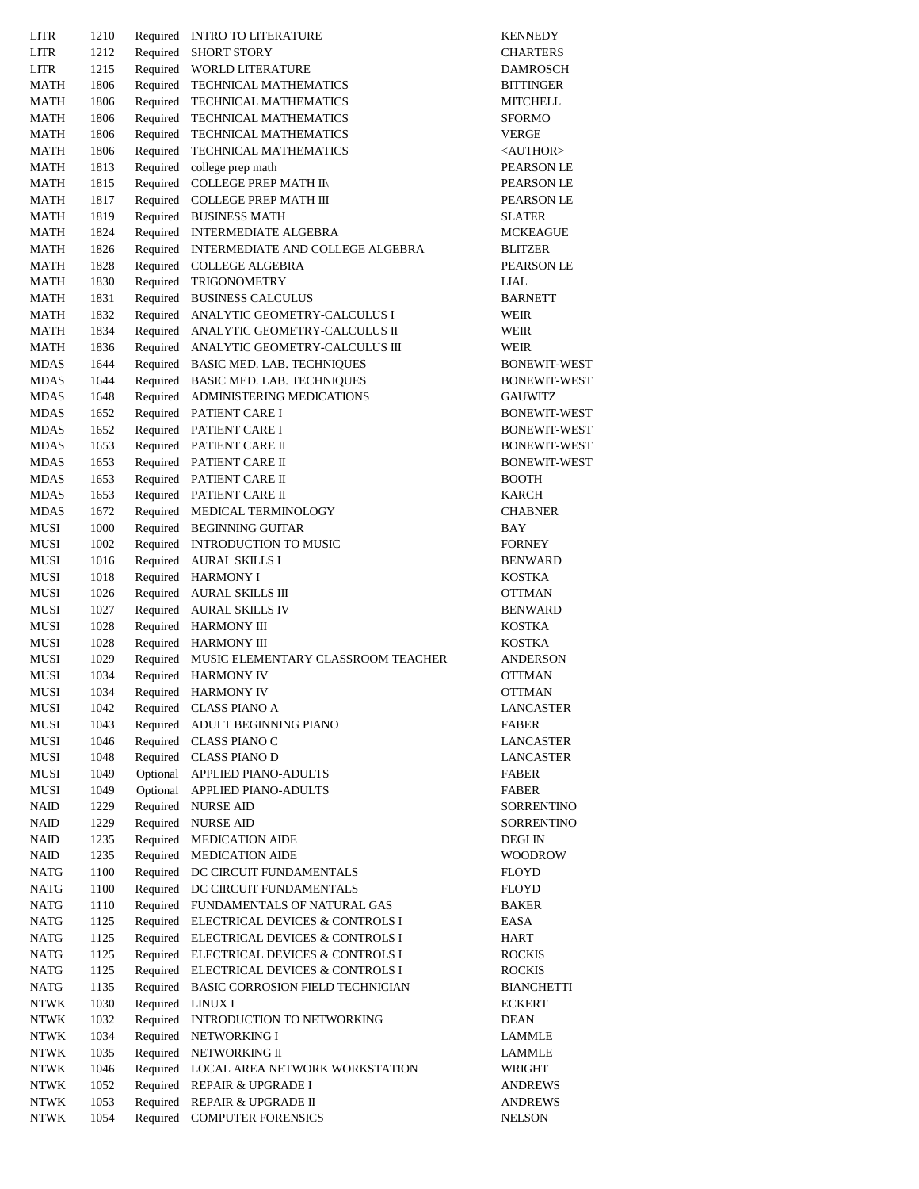| LITR        | 1210 | Required | INTRO TO LITERATURE                         | <b>KENNEDY</b>              |
|-------------|------|----------|---------------------------------------------|-----------------------------|
| LITR        | 1212 | Required | <b>SHORT STORY</b>                          | <b>CHARTER:</b>             |
| LITR        | 1215 | Required | <b>WORLD LITERATURE</b>                     | <b>DAMROSC</b>              |
| MATH        | 1806 | Required | TECHNICAL MATHEMATICS                       | <b>BITTINGEH</b>            |
| MATH        | 1806 |          | Required TECHNICAL MATHEMATICS              | <b>MITCHELL</b>             |
| MATH        | 1806 | Required | TECHNICAL MATHEMATICS                       | SFORMO                      |
| MATH        | 1806 | Required | TECHNICAL MATHEMATICS                       | VERGE                       |
| MATH        | 1806 | Required | <b>TECHNICAL MATHEMATICS</b>                |                             |
|             |      |          |                                             | <author:< td=""></author:<> |
| MATH        | 1813 | Required | college prep math                           | <b>PEARSON</b>              |
| MATH        | 1815 |          | Required COLLEGE PREP MATH II\              | PEARSON                     |
| MATH        | 1817 |          | Required COLLEGE PREP MATH III              | <b>PEARSON</b>              |
| MATH        | 1819 | Required | <b>BUSINESS MATH</b>                        | <b>SLATER</b>               |
| MATH        | 1824 |          | Required INTERMEDIATE ALGEBRA               | <b>MCKEAGU</b>              |
| MATH        | 1826 | Required | INTERMEDIATE AND COLLEGE ALGEBRA            | BLITZER                     |
| MATH        | 1828 |          | Required COLLEGE ALGEBRA                    | <b>PEARSON</b>              |
| MATH        | 1830 |          | Required TRIGONOMETRY                       | LIAL                        |
| MATH        | 1831 |          | Required BUSINESS CALCULUS                  | <b>BARNETT</b>              |
| MATH        | 1832 |          | Required ANALYTIC GEOMETRY-CALCULUS I       | WEIR                        |
| MATH        | 1834 |          | Required ANALYTIC GEOMETRY-CALCULUS II      | WEIR                        |
| MATH        | 1836 |          | Required ANALYTIC GEOMETRY-CALCULUS III     | WEIR                        |
| MDAS        | 1644 |          | Required BASIC MED. LAB. TECHNIQUES         | <b>BONEWIT-</b>             |
| MDAS        | 1644 |          | Required BASIC MED. LAB. TECHNIQUES         | <b>BONEWIT-</b>             |
| MDAS        | 1648 |          | Required ADMINISTERING MEDICATIONS          | GAUWITZ                     |
| MDAS        | 1652 |          | Required PATIENT CARE I                     | <b>BONEWIT-</b>             |
| MDAS        | 1652 |          | Required PATIENT CARE I                     | <b>BONEWIT-</b>             |
|             |      |          |                                             |                             |
| MDAS        | 1653 |          | Required PATIENT CARE II                    | <b>BONEWIT-</b>             |
| MDAS        | 1653 |          | Required PATIENT CARE II                    | <b>BONEWIT-</b>             |
| MDAS        | 1653 |          | Required PATIENT CARE II                    | <b>BOOTH</b>                |
| MDAS        | 1653 |          | Required PATIENT CARE II                    | KARCH                       |
| MDAS        | 1672 |          | Required MEDICAL TERMINOLOGY                | <b>CHABNER</b>              |
| MUSI        | 1000 |          | Required BEGINNING GUITAR                   | BAY                         |
| MUSI        | 1002 |          | Required INTRODUCTION TO MUSIC              | <b>FORNEY</b>               |
| MUSI        | 1016 |          | Required AURAL SKILLS I                     | <b>BENWARD</b>              |
| MUSI        | 1018 |          | Required HARMONY I                          | <b>KOSTKA</b>               |
| MUSI        | 1026 |          | Required AURAL SKILLS III                   | <b>OTTMAN</b>               |
| MUSI        | 1027 |          | Required AURAL SKILLS IV                    | <b>BENWARD</b>              |
| MUSI        | 1028 |          | Required HARMONY III                        | KOSTKA                      |
| MUSI        | 1028 |          | Required HARMONY III                        | KOSTKA                      |
| MUSI        | 1029 |          | Required MUSIC ELEMENTARY CLASSROOM TEACHER | ANDERSO.                    |
| MUSI        | 1034 | Required | <b>HARMONY IV</b>                           | <b>OTTMAN</b>               |
| MUSI        | 1034 |          | Required HARMONY IV                         | <b>OTTMAN</b>               |
| MUSI        | 1042 | Required | CLASS PIANO A                               | LANCASTI                    |
| MUSI        | 1043 | Required | ADULT BEGINNING PIANO                       | FABER                       |
| MUSI        | 1046 |          | Required CLASS PIANO C                      | LANCASTI                    |
| MUSI        | 1048 | Required | <b>CLASS PIANO D</b>                        | LANCASTI                    |
| MUSI        | 1049 | Optional | APPLIED PIANO-ADULTS                        | FABER                       |
|             |      | Optional |                                             | <b>FABER</b>                |
| MUSI        | 1049 |          | APPLIED PIANO-ADULTS                        |                             |
| NAID        | 1229 | Required | <b>NURSE AID</b>                            | <b>SORRENTI</b>             |
| NAID        | 1229 |          | Required NURSE AID                          | SORRENTI                    |
| NAID        | 1235 | Required | <b>MEDICATION AIDE</b>                      | <b>DEGLIN</b>               |
| NAID        | 1235 | Required | <b>MEDICATION AIDE</b>                      | <b>WOODROV</b>              |
| NATG        | 1100 | Required | DC CIRCUIT FUNDAMENTALS                     | FLOYD                       |
| NATG        | 1100 | Required | DC CIRCUIT FUNDAMENTALS                     | FLOYD                       |
| <b>NATG</b> | 1110 | Required | FUNDAMENTALS OF NATURAL GAS                 | BAKER                       |
| <b>NATG</b> | 1125 |          | Required ELECTRICAL DEVICES & CONTROLS I    | EASA                        |
| NATG        | 1125 | Required | ELECTRICAL DEVICES & CONTROLS I             | HART                        |
| NATG        | 1125 | Required | ELECTRICAL DEVICES & CONTROLS I             | <b>ROCKIS</b>               |
| NATG        | 1125 | Required | ELECTRICAL DEVICES & CONTROLS I             | <b>ROCKIS</b>               |
| NATG        | 1135 | Required | BASIC CORROSION FIELD TECHNICIAN            | <b>BIANCHET</b>             |
| NTWK        | 1030 | Required | LINUX I                                     | ECKERT                      |
| NTWK        | 1032 | Required | INTRODUCTION TO NETWORKING                  | DEAN                        |
| NTWK        | 1034 | Required | NETWORKING I                                | LAMMLE                      |
| NTWK        | 1035 | Required | NETWORKING II                               | LAMMLE                      |
| NTWK        | 1046 | Required | LOCAL AREA NETWORK WORKSTATION              | WRIGHT                      |
| NTWK        | 1052 | Required | <b>REPAIR &amp; UPGRADE I</b>               | ANDREWS                     |
| NTWK        | 1053 |          | Required REPAIR & UPGRADE II                | ANDREWS                     |
|             |      |          |                                             |                             |
| NTWK        | 1054 | Required | <b>COMPUTER FORENSICS</b>                   | NELSON                      |

**CHARTERS** DAMROSCH **BITTINGER**  $MITCHELL$  $<$ AUTHOR $>$ PEARSON LE PEARSON LE PEARSON LE MCKEAGUE PEARSON LE BARNETT BONEWIT-WEST BONEWIT-WEST BONEWIT-WEST BONEWIT-WEST BONEWIT-WEST BONEWIT-WEST CHABNER BENWARD OTTMAN BENWARD ANDERSON OTTMAN LANCASTER LANCASTER LANCASTER SORRENTINO SORRENTINO WOODROW **BIANCHETTI** ANDREWS ANDREWS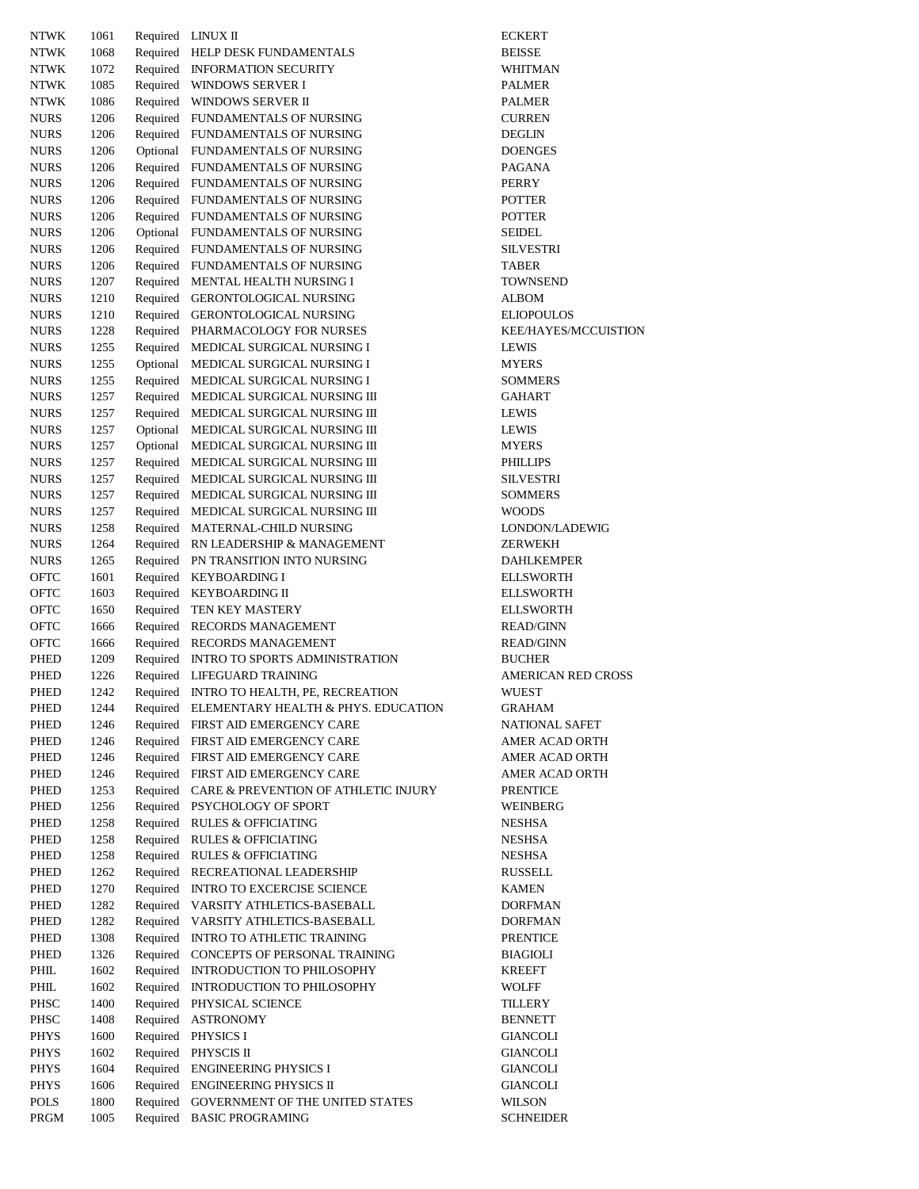| <b>NTWK</b> | 1061 | Required | LINUX II                              | <b>ECKERT</b>   |
|-------------|------|----------|---------------------------------------|-----------------|
| <b>NTWK</b> | 1068 | Required | HELP DESK FUNDAMENTALS                | <b>BEISSE</b>   |
| <b>NTWK</b> | 1072 | Required | <b>INFORMATION SECURITY</b>           | WHITMAN         |
| <b>NTWK</b> | 1085 | Required | <b>WINDOWS SERVER I</b>               | PALMER          |
| <b>NTWK</b> | 1086 | Required | WINDOWS SERVER II                     | <b>PALMER</b>   |
| <b>NURS</b> | 1206 | Required | <b>FUNDAMENTALS OF NURSING</b>        | <b>CURREN</b>   |
| <b>NURS</b> | 1206 | Required | FUNDAMENTALS OF NURSING               | <b>DEGLIN</b>   |
| <b>NURS</b> | 1206 | Optional | FUNDAMENTALS OF NURSING               | <b>DOENGES</b>  |
| <b>NURS</b> | 1206 | Required | FUNDAMENTALS OF NURSING               | PAGANA          |
| <b>NURS</b> | 1206 | Required | FUNDAMENTALS OF NURSING               | PERRY           |
| <b>NURS</b> | 1206 | Required | FUNDAMENTALS OF NURSING               | <b>POTTER</b>   |
| <b>NURS</b> | 1206 | Required | FUNDAMENTALS OF NURSING               | <b>POTTER</b>   |
| <b>NURS</b> | 1206 | Optional | FUNDAMENTALS OF NURSING               | <b>SEIDEL</b>   |
| <b>NURS</b> | 1206 | Required | FUNDAMENTALS OF NURSING               | <b>SILVESTR</b> |
| <b>NURS</b> | 1206 | Required | FUNDAMENTALS OF NURSING               | TABER           |
| <b>NURS</b> | 1207 | Required | MENTAL HEALTH NURSING I               | TOWNSEN         |
| <b>NURS</b> | 1210 | Required | GERONTOLOGICAL NURSING                | <b>ALBOM</b>    |
| <b>NURS</b> | 1210 | Required | <b>GERONTOLOGICAL NURSING</b>         | <b>ELIOPOUL</b> |
| <b>NURS</b> | 1228 | Required | PHARMACOLOGY FOR NURSES               | <b>KEE/HAYE</b> |
| <b>NURS</b> | 1255 | Required | MEDICAL SURGICAL NURSING I            | <b>LEWIS</b>    |
| <b>NURS</b> | 1255 | Optional | MEDICAL SURGICAL NURSING I            | <b>MYERS</b>    |
| <b>NURS</b> | 1255 | Required | MEDICAL SURGICAL NURSING I            | <b>SOMMERS</b>  |
| <b>NURS</b> | 1257 | Required | MEDICAL SURGICAL NURSING III          | <b>GAHART</b>   |
| <b>NURS</b> | 1257 | Required | MEDICAL SURGICAL NURSING III          | <b>LEWIS</b>    |
| <b>NURS</b> | 1257 | Optional | MEDICAL SURGICAL NURSING III          | <b>LEWIS</b>    |
| <b>NURS</b> | 1257 | Optional | MEDICAL SURGICAL NURSING III          | <b>MYERS</b>    |
| <b>NURS</b> | 1257 | Required | MEDICAL SURGICAL NURSING III          | PHILLIPS        |
| <b>NURS</b> | 1257 | Required | MEDICAL SURGICAL NURSING III          | <b>SILVESTR</b> |
| <b>NURS</b> | 1257 | Required | MEDICAL SURGICAL NURSING III          | <b>SOMMERS</b>  |
| <b>NURS</b> | 1257 | Required | MEDICAL SURGICAL NURSING III          | <b>WOODS</b>    |
| <b>NURS</b> | 1258 | Required | MATERNAL-CHILD NURSING                | LONDON/I        |
| <b>NURS</b> | 1264 | Required | RN LEADERSHIP & MANAGEMENT            | ZERWEKH         |
| <b>NURS</b> | 1265 | Required | PN TRANSITION INTO NURSING            | DAHLKEM         |
| OFTC        | 1601 | Required | <b>KEYBOARDING I</b>                  | <b>ELLSWOR</b>  |
| <b>OFTC</b> | 1603 | Required | <b>KEYBOARDING II</b>                 | <b>ELLSWOR</b>  |
| OFTC        | 1650 | Required | TEN KEY MASTERY                       | <b>ELLSWOR</b>  |
| OFTC        | 1666 | Required | RECORDS MANAGEMENT                    | <b>READ/GIN</b> |
| <b>OFTC</b> | 1666 | Required | RECORDS MANAGEMENT                    | <b>READ/GIN</b> |
| PHED        | 1209 | Required | <b>INTRO TO SPORTS ADMINISTRATION</b> | <b>BUCHER</b>   |
| PHED        | 1226 | Required | <b>LIFEGUARD TRAINING</b>             | <b>AMERICA</b>  |
| <b>PHED</b> | 1242 | Required | INTRO TO HEALTH, PE, RECREATION       | WUEST           |
| PHED        | 1244 | Required | ELEMENTARY HEALTH & PHYS. EDUCATION   | <b>GRAHAM</b>   |
| PHED        | 1246 | Required | FIRST AID EMERGENCY CARE              | NATIONAI        |
| PHED        | 1246 | Required | FIRST AID EMERGENCY CARE              | <b>AMER AC</b>  |
| PHED        | 1246 | Required | FIRST AID EMERGENCY CARE              | <b>AMER AC</b>  |
| PHED        | 1246 | Required | FIRST AID EMERGENCY CARE              | <b>AMER AC</b>  |
| PHED        | 1253 | Required | CARE & PREVENTION OF ATHLETIC INJURY  | <b>PRENTICE</b> |
| PHED        | 1256 |          | Required PSYCHOLOGY OF SPORT          | <b>WEINBER</b>  |
| PHED        | 1258 | Required | <b>RULES &amp; OFFICIATING</b>        | NESHSA          |
| PHED        | 1258 | Required | <b>RULES &amp; OFFICIATING</b>        | NESHSA          |
| PHED        | 1258 | Required | <b>RULES &amp; OFFICIATING</b>        | NESHSA          |
| PHED        | 1262 | Required | RECREATIONAL LEADERSHIP               | RUSSELL         |
| PHED        | 1270 | Required | <b>INTRO TO EXCERCISE SCIENCE</b>     | <b>KAMEN</b>    |
| PHED        | 1282 | Required | VARSITY ATHLETICS-BASEBALL            | <b>DORFMAN</b>  |
| PHED        | 1282 | Required | VARSITY ATHLETICS-BASEBALL            | <b>DORFMAN</b>  |
| PHED        | 1308 | Required | <b>INTRO TO ATHLETIC TRAINING</b>     | <b>PRENTICE</b> |
| PHED        | 1326 | Required | CONCEPTS OF PERSONAL TRAINING         | BIAGIOLI        |
| PHIL        | 1602 | Required | INTRODUCTION TO PHILOSOPHY            | KREEFT          |
| PHIL        | 1602 | Required | <b>INTRODUCTION TO PHILOSOPHY</b>     | WOLFF           |
| PHSC        | 1400 | Required | PHYSICAL SCIENCE                      | TILLERY         |
| PHSC        | 1408 | Required | ASTRONOMY                             | <b>BENNETT</b>  |
| PHYS        | 1600 | Required | PHYSICS I                             | <b>GIANCOLI</b> |
| <b>PHYS</b> | 1602 | Required | PHYSCIS II                            | <b>GIANCOLI</b> |
| <b>PHYS</b> | 1604 | Required | <b>ENGINEERING PHYSICS I</b>          | <b>GIANCOLI</b> |
| <b>PHYS</b> | 1606 | Required | <b>ENGINEERING PHYSICS II</b>         | <b>GIANCOLI</b> |
| <b>POLS</b> | 1800 | Required | GOVERNMENT OF THE UNITED STATES       | WILSON          |
| PRGM        | 1005 | Required | <b>BASIC PROGRAMING</b>               | <b>SCHNEIDE</b> |

WHITMAN DOENGES SILVESTRI TOWNSEND ELIOPOULOS KEE/HAYES/MCCUISTION SOMMERS SILVESTRI SOMMERS LONDON/LADEWIG ZERWEKH DAHLKEMPER ELLSWORTH ELLSWORTH **ELLSWORTH** READ/GINN READ/GINN AMERICAN RED CROSS GRAHAM NATIONAL SAFET AMER ACAD ORTH AMER ACAD ORTH AMER ACAD ORTH PRENTICE WEINBERG DORFMAN DORFMAN PRENTICE BIAGIOLI GIANCOLI GIANCOLI GIANCOLI SCHNEIDER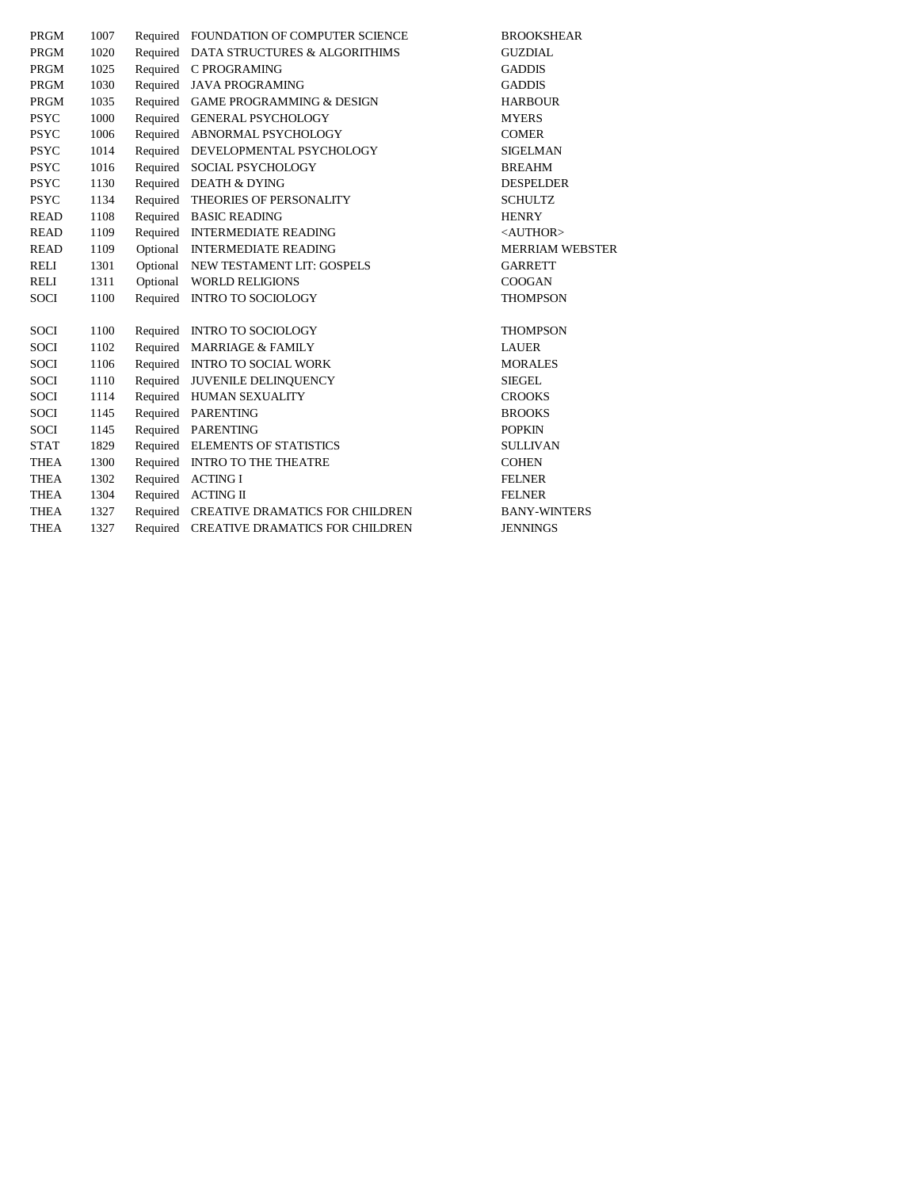| <b>PRGM</b> | 1007 |          | Required FOUNDATION OF COMPUTER SCIENCE  | <b>BROOKSHEAR</b>      |
|-------------|------|----------|------------------------------------------|------------------------|
| <b>PRGM</b> | 1020 |          | Required DATA STRUCTURES & ALGORITHIMS   | <b>GUZDIAL</b>         |
| <b>PRGM</b> | 1025 |          | Required C PROGRAMING                    | <b>GADDIS</b>          |
| PRGM        | 1030 |          | Required JAVA PROGRAMING                 | <b>GADDIS</b>          |
| <b>PRGM</b> | 1035 |          | Required GAME PROGRAMMING & DESIGN       | <b>HARBOUR</b>         |
| <b>PSYC</b> | 1000 |          | Required GENERAL PSYCHOLOGY              | <b>MYERS</b>           |
| <b>PSYC</b> | 1006 |          | Required ABNORMAL PSYCHOLOGY             | <b>COMER</b>           |
| <b>PSYC</b> | 1014 | Required | DEVELOPMENTAL PSYCHOLOGY                 | <b>SIGELMAN</b>        |
| <b>PSYC</b> | 1016 | Required | SOCIAL PSYCHOLOGY                        | <b>BREAHM</b>          |
| <b>PSYC</b> | 1130 |          | Required DEATH & DYING                   | <b>DESPELDER</b>       |
| <b>PSYC</b> | 1134 |          | Required THEORIES OF PERSONALITY         | <b>SCHULTZ</b>         |
| <b>READ</b> | 1108 |          | Required BASIC READING                   | <b>HENRY</b>           |
| <b>READ</b> | 1109 |          | Required INTERMEDIATE READING            | <author></author>      |
| <b>READ</b> | 1109 |          | Optional INTERMEDIATE READING            | <b>MERRIAM WEBSTER</b> |
| <b>RELI</b> | 1301 |          | Optional NEW TESTAMENT LIT: GOSPELS      | <b>GARRETT</b>         |
| <b>RELI</b> | 1311 | Optional | <b>WORLD RELIGIONS</b>                   | <b>COOGAN</b>          |
| <b>SOCI</b> | 1100 | Required | <b>INTRO TO SOCIOLOGY</b>                | <b>THOMPSON</b>        |
|             |      |          |                                          |                        |
| <b>SOCI</b> | 1100 |          | Required INTRO TO SOCIOLOGY              | <b>THOMPSON</b>        |
| <b>SOCI</b> | 1102 |          | Required MARRIAGE & FAMILY               | <b>LAUER</b>           |
| <b>SOCI</b> | 1106 |          | Required INTRO TO SOCIAL WORK            | <b>MORALES</b>         |
| <b>SOCI</b> | 1110 |          | Required JUVENILE DELINQUENCY            | <b>SIEGEL</b>          |
| <b>SOCI</b> | 1114 |          | Required HUMAN SEXUALITY                 | <b>CROOKS</b>          |
| <b>SOCI</b> | 1145 | Required | <b>PARENTING</b>                         | <b>BROOKS</b>          |
| <b>SOCI</b> | 1145 |          | Required PARENTING                       | <b>POPKIN</b>          |
| <b>STAT</b> | 1829 |          | Required ELEMENTS OF STATISTICS          | <b>SULLIVAN</b>        |
| <b>THEA</b> | 1300 |          | Required INTRO TO THE THEATRE            | <b>COHEN</b>           |
| <b>THEA</b> | 1302 | Required | <b>ACTING I</b>                          | <b>FELNER</b>          |
| <b>THEA</b> | 1304 | Required | <b>ACTING II</b>                         | <b>FELNER</b>          |
| <b>THEA</b> | 1327 |          | Required CREATIVE DRAMATICS FOR CHILDREN | <b>BANY-WINTERS</b>    |
| <b>THEA</b> | 1327 |          | Required CREATIVE DRAMATICS FOR CHILDREN | <b>JENNINGS</b>        |
|             |      |          |                                          |                        |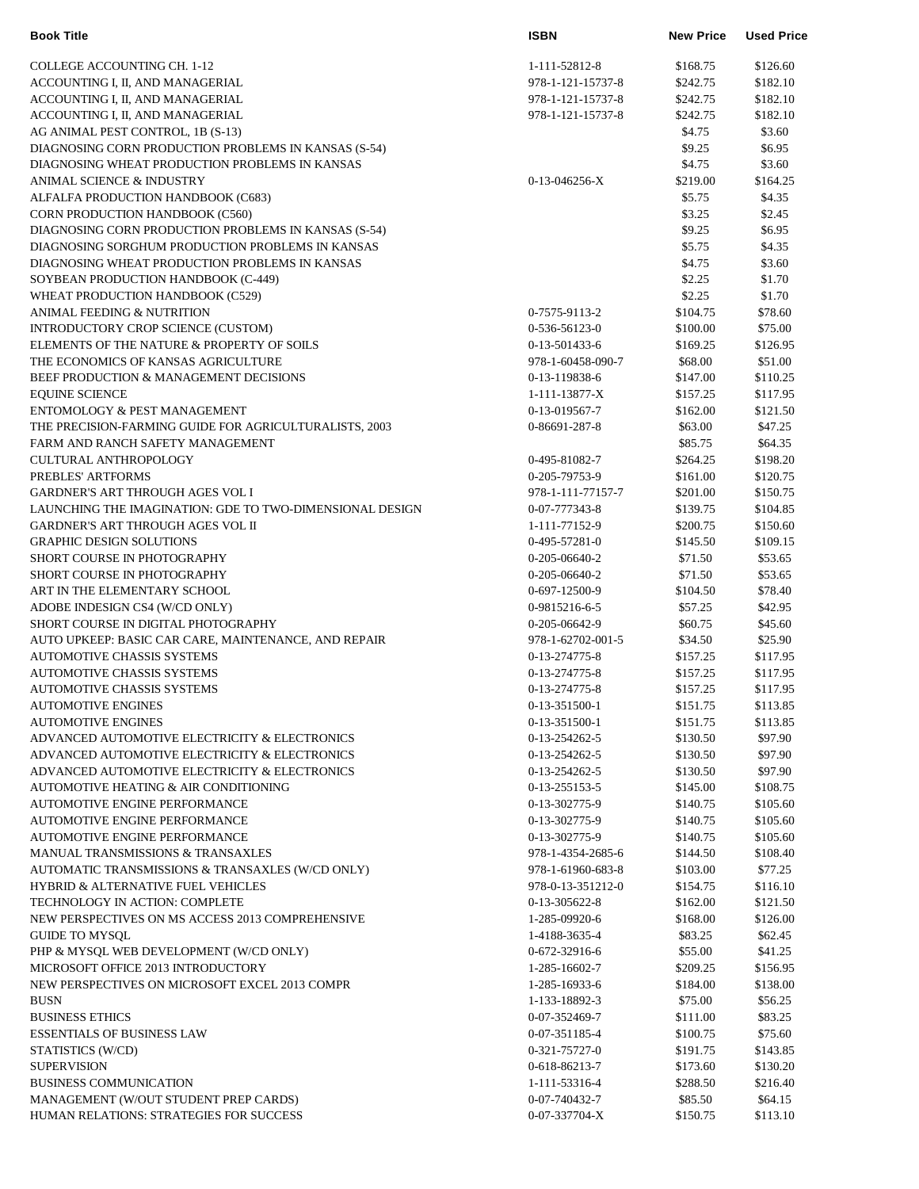| <b>Book Title</b>                                        | <b>ISBN</b>       | <b>New Price</b> | <b>Used Price</b> |
|----------------------------------------------------------|-------------------|------------------|-------------------|
| COLLEGE ACCOUNTING CH. 1-12                              | 1-111-52812-8     | \$168.75         | \$126.60          |
| ACCOUNTING I, II, AND MANAGERIAL                         | 978-1-121-15737-8 | \$242.75         | \$182.10          |
| ACCOUNTING I, II, AND MANAGERIAL                         | 978-1-121-15737-8 | \$242.75         | \$182.10          |
| ACCOUNTING I, II, AND MANAGERIAL                         | 978-1-121-15737-8 | \$242.75         | \$182.10          |
| AG ANIMAL PEST CONTROL, 1B (S-13)                        |                   | \$4.75           | \$3.60            |
| DIAGNOSING CORN PRODUCTION PROBLEMS IN KANSAS (S-54)     |                   | \$9.25           | \$6.95            |
| DIAGNOSING WHEAT PRODUCTION PROBLEMS IN KANSAS           |                   | \$4.75           | \$3.60            |
| ANIMAL SCIENCE & INDUSTRY                                | $0-13-046256-X$   | \$219.00         | \$164.25          |
| ALFALFA PRODUCTION HANDBOOK (C683)                       |                   | \$5.75           | \$4.35            |
| CORN PRODUCTION HANDBOOK (C560)                          |                   | \$3.25           | \$2.45            |
| DIAGNOSING CORN PRODUCTION PROBLEMS IN KANSAS (S-54)     |                   | \$9.25           | \$6.95            |
| DIAGNOSING SORGHUM PRODUCTION PROBLEMS IN KANSAS         |                   | \$5.75           | \$4.35            |
| DIAGNOSING WHEAT PRODUCTION PROBLEMS IN KANSAS           |                   | \$4.75           | \$3.60            |
| SOYBEAN PRODUCTION HANDBOOK (C-449)                      |                   | \$2.25           | \$1.70            |
| WHEAT PRODUCTION HANDBOOK (C529)                         |                   | \$2.25           | \$1.70            |
| ANIMAL FEEDING & NUTRITION                               | 0-7575-9113-2     | \$104.75         | \$78.60           |
| INTRODUCTORY CROP SCIENCE (CUSTOM)                       | 0-536-56123-0     | \$100.00         | \$75.00           |
| ELEMENTS OF THE NATURE & PROPERTY OF SOILS               | 0-13-501433-6     | \$169.25         | \$126.95          |
| THE ECONOMICS OF KANSAS AGRICULTURE                      | 978-1-60458-090-7 | \$68.00          | \$51.00           |
| BEEF PRODUCTION & MANAGEMENT DECISIONS                   | 0-13-119838-6     | \$147.00         | \$110.25          |
| <b>EQUINE SCIENCE</b>                                    | 1-111-13877-X     | \$157.25         | \$117.95          |
| ENTOMOLOGY & PEST MANAGEMENT                             | 0-13-019567-7     | \$162.00         | \$121.50          |
| THE PRECISION-FARMING GUIDE FOR AGRICULTURALISTS, 2003   | 0-86691-287-8     | \$63.00          | \$47.25           |
| FARM AND RANCH SAFETY MANAGEMENT                         |                   | \$85.75          | \$64.35           |
| <b>CULTURAL ANTHROPOLOGY</b>                             | 0-495-81082-7     | \$264.25         | \$198.20          |
| PREBLES' ARTFORMS                                        | 0-205-79753-9     | \$161.00         | \$120.75          |
| <b>GARDNER'S ART THROUGH AGES VOL I</b>                  | 978-1-111-77157-7 | \$201.00         | \$150.75          |
| LAUNCHING THE IMAGINATION: GDE TO TWO-DIMENSIONAL DESIGN | 0-07-777343-8     | \$139.75         | \$104.85          |
| <b>GARDNER'S ART THROUGH AGES VOL II</b>                 | 1-111-77152-9     | \$200.75         | \$150.60          |
| <b>GRAPHIC DESIGN SOLUTIONS</b>                          | 0-495-57281-0     | \$145.50         | \$109.15          |
| SHORT COURSE IN PHOTOGRAPHY                              | 0-205-06640-2     | \$71.50          | \$53.65           |
| SHORT COURSE IN PHOTOGRAPHY                              | 0-205-06640-2     | \$71.50          | \$53.65           |
| ART IN THE ELEMENTARY SCHOOL                             | 0-697-12500-9     | \$104.50         | \$78.40           |
| ADOBE INDESIGN CS4 (W/CD ONLY)                           | 0-9815216-6-5     | \$57.25          | \$42.95           |
| SHORT COURSE IN DIGITAL PHOTOGRAPHY                      | 0-205-06642-9     | \$60.75          | \$45.60           |
| AUTO UPKEEP: BASIC CAR CARE, MAINTENANCE, AND REPAIR     | 978-1-62702-001-5 | \$34.50          | \$25.90           |
| <b>AUTOMOTIVE CHASSIS SYSTEMS</b>                        | 0-13-274775-8     | \$157.25         | \$117.95          |
| AUTOMOTIVE CHASSIS SYSTEMS                               | 0-13-274775-8     | \$157.25         | \$117.95          |
| <b>AUTOMOTIVE CHASSIS SYSTEMS</b>                        | 0-13-274775-8     | \$157.25         | \$117.95          |
| <b>AUTOMOTIVE ENGINES</b>                                | 0-13-351500-1     | \$151.75         | \$113.85          |
| <b>AUTOMOTIVE ENGINES</b>                                | 0-13-351500-1     | \$151.75         | \$113.85          |
| ADVANCED AUTOMOTIVE ELECTRICITY & ELECTRONICS            | 0-13-254262-5     | \$130.50         | \$97.90           |
| ADVANCED AUTOMOTIVE ELECTRICITY & ELECTRONICS            | 0-13-254262-5     | \$130.50         | \$97.90           |
| ADVANCED AUTOMOTIVE ELECTRICITY & ELECTRONICS            | 0-13-254262-5     | \$130.50         | \$97.90           |
| AUTOMOTIVE HEATING & AIR CONDITIONING                    | 0-13-255153-5     | \$145.00         | \$108.75          |
| <b>AUTOMOTIVE ENGINE PERFORMANCE</b>                     | 0-13-302775-9     | \$140.75         | \$105.60          |
| <b>AUTOMOTIVE ENGINE PERFORMANCE</b>                     | 0-13-302775-9     | \$140.75         | \$105.60          |
| AUTOMOTIVE ENGINE PERFORMANCE                            | 0-13-302775-9     | \$140.75         | \$105.60          |
| MANUAL TRANSMISSIONS & TRANSAXLES                        | 978-1-4354-2685-6 | \$144.50         | \$108.40          |
| AUTOMATIC TRANSMISSIONS & TRANSAXLES (W/CD ONLY)         | 978-1-61960-683-8 | \$103.00         | \$77.25           |
| <b>HYBRID &amp; ALTERNATIVE FUEL VEHICLES</b>            | 978-0-13-351212-0 | \$154.75         | \$116.10          |
| TECHNOLOGY IN ACTION: COMPLETE                           | 0-13-305622-8     | \$162.00         | \$121.50          |
| NEW PERSPECTIVES ON MS ACCESS 2013 COMPREHENSIVE         | 1-285-09920-6     | \$168.00         | \$126.00          |
| <b>GUIDE TO MYSQL</b>                                    | 1-4188-3635-4     | \$83.25          | \$62.45           |
| PHP & MYSQL WEB DEVELOPMENT (W/CD ONLY)                  | 0-672-32916-6     | \$55.00          | \$41.25           |
| MICROSOFT OFFICE 2013 INTRODUCTORY                       | 1-285-16602-7     | \$209.25         | \$156.95          |
| NEW PERSPECTIVES ON MICROSOFT EXCEL 2013 COMPR           | 1-285-16933-6     | \$184.00         | \$138.00          |
| <b>BUSN</b>                                              | 1-133-18892-3     | \$75.00          | \$56.25           |
| <b>BUSINESS ETHICS</b>                                   | 0-07-352469-7     | \$111.00         | \$83.25           |
| <b>ESSENTIALS OF BUSINESS LAW</b>                        | 0-07-351185-4     | \$100.75         | \$75.60           |
| STATISTICS (W/CD)                                        | 0-321-75727-0     | \$191.75         | \$143.85          |
| <b>SUPERVISION</b>                                       | 0-618-86213-7     | \$173.60         | \$130.20          |
| <b>BUSINESS COMMUNICATION</b>                            | 1-111-53316-4     | \$288.50         | \$216.40          |
| MANAGEMENT (W/OUT STUDENT PREP CARDS)                    | 0-07-740432-7     | \$85.50          | \$64.15           |
| HUMAN RELATIONS: STRATEGIES FOR SUCCESS                  | 0-07-337704-X     | \$150.75         | \$113.10          |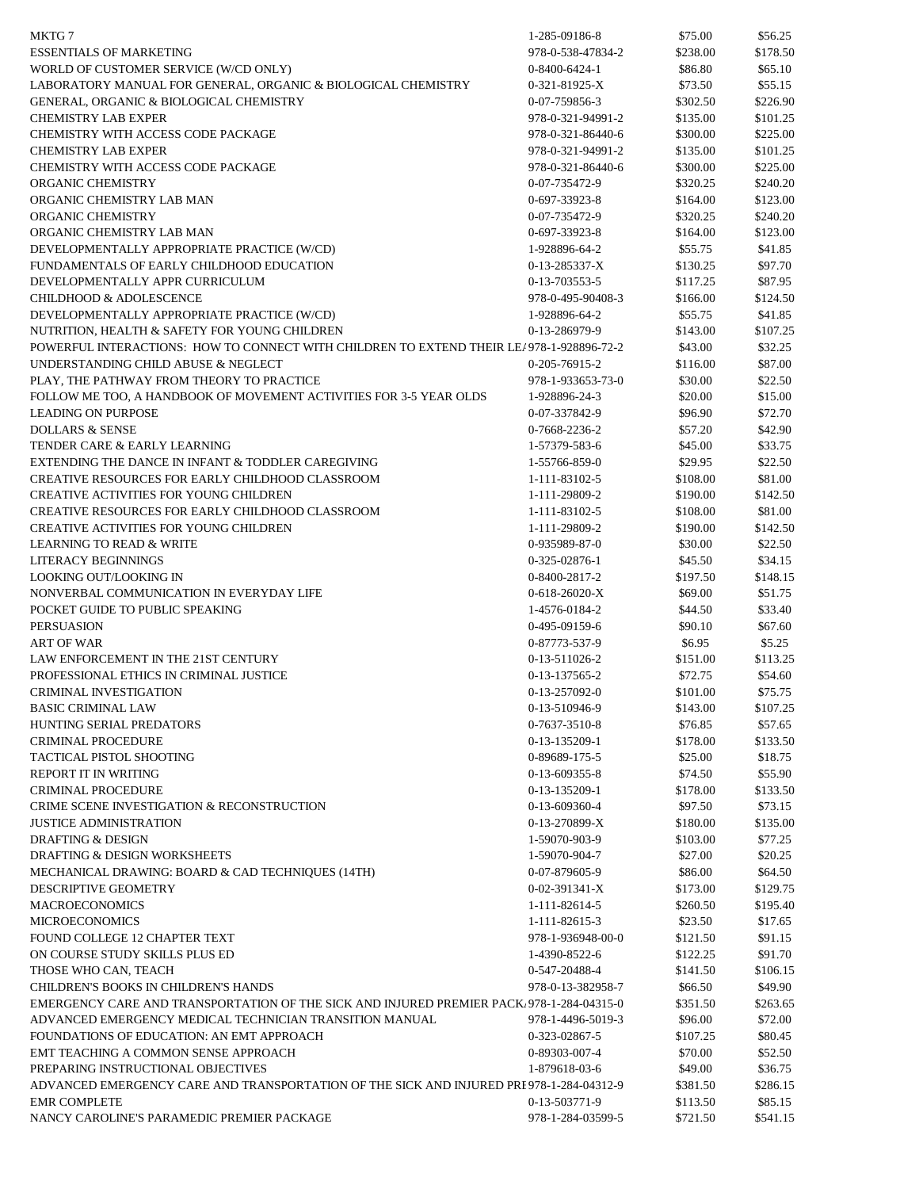| MKTG 7                                                                                    | 1-285-09186-8     | \$75.00  | \$56.25  |
|-------------------------------------------------------------------------------------------|-------------------|----------|----------|
| <b>ESSENTIALS OF MARKETING</b>                                                            | 978-0-538-47834-2 | \$238.00 | \$178.50 |
| WORLD OF CUSTOMER SERVICE (W/CD ONLY)                                                     | 0-8400-6424-1     | \$86.80  | \$65.10  |
| LABORATORY MANUAL FOR GENERAL, ORGANIC & BIOLOGICAL CHEMISTRY                             | 0-321-81925-X     | \$73.50  | \$55.15  |
| GENERAL, ORGANIC & BIOLOGICAL CHEMISTRY                                                   | 0-07-759856-3     | \$302.50 | \$226.90 |
| <b>CHEMISTRY LAB EXPER</b>                                                                | 978-0-321-94991-2 | \$135.00 | \$101.25 |
| CHEMISTRY WITH ACCESS CODE PACKAGE                                                        | 978-0-321-86440-6 | \$300.00 | \$225.00 |
| <b>CHEMISTRY LAB EXPER</b>                                                                | 978-0-321-94991-2 | \$135.00 | \$101.25 |
| CHEMISTRY WITH ACCESS CODE PACKAGE                                                        | 978-0-321-86440-6 | \$300.00 | \$225.00 |
| ORGANIC CHEMISTRY                                                                         | 0-07-735472-9     | \$320.25 | \$240.20 |
| ORGANIC CHEMISTRY LAB MAN                                                                 | 0-697-33923-8     | \$164.00 | \$123.00 |
| ORGANIC CHEMISTRY                                                                         | 0-07-735472-9     | \$320.25 | \$240.20 |
| ORGANIC CHEMISTRY LAB MAN                                                                 | 0-697-33923-8     | \$164.00 | \$123.00 |
| DEVELOPMENTALLY APPROPRIATE PRACTICE (W/CD)                                               | 1-928896-64-2     | \$55.75  | \$41.85  |
| FUNDAMENTALS OF EARLY CHILDHOOD EDUCATION                                                 | 0-13-285337-X     | \$130.25 | \$97.70  |
| DEVELOPMENTALLY APPR CURRICULUM                                                           |                   |          | \$87.95  |
|                                                                                           | 0-13-703553-5     | \$117.25 |          |
| <b>CHILDHOOD &amp; ADOLESCENCE</b>                                                        | 978-0-495-90408-3 | \$166.00 | \$124.50 |
| DEVELOPMENTALLY APPROPRIATE PRACTICE (W/CD)                                               | 1-928896-64-2     | \$55.75  | \$41.85  |
| NUTRITION. HEALTH & SAFETY FOR YOUNG CHILDREN                                             | 0-13-286979-9     | \$143.00 | \$107.25 |
| POWERFUL INTERACTIONS: HOW TO CONNECT WITH CHILDREN TO EXTEND THEIR LE/978-1-928896-72-2  |                   | \$43.00  | \$32.25  |
| UNDERSTANDING CHILD ABUSE & NEGLECT                                                       | 0-205-76915-2     | \$116.00 | \$87.00  |
| PLAY, THE PATHWAY FROM THEORY TO PRACTICE                                                 | 978-1-933653-73-0 | \$30.00  | \$22.50  |
| FOLLOW ME TOO, A HANDBOOK OF MOVEMENT ACTIVITIES FOR 3-5 YEAR OLDS                        | 1-928896-24-3     | \$20.00  | \$15.00  |
| <b>LEADING ON PURPOSE</b>                                                                 | 0-07-337842-9     | \$96.90  | \$72.70  |
| <b>DOLLARS &amp; SENSE</b>                                                                | 0-7668-2236-2     | \$57.20  | \$42.90  |
| TENDER CARE & EARLY LEARNING                                                              | 1-57379-583-6     | \$45.00  | \$33.75  |
| EXTENDING THE DANCE IN INFANT & TODDLER CAREGIVING                                        | 1-55766-859-0     | \$29.95  | \$22.50  |
| <b>CREATIVE RESOURCES FOR EARLY CHILDHOOD CLASSROOM</b>                                   | 1-111-83102-5     | \$108.00 | \$81.00  |
| <b>CREATIVE ACTIVITIES FOR YOUNG CHILDREN</b>                                             | 1-111-29809-2     | \$190.00 | \$142.50 |
| CREATIVE RESOURCES FOR EARLY CHILDHOOD CLASSROOM                                          | 1-111-83102-5     | \$108.00 | \$81.00  |
| <b>CREATIVE ACTIVITIES FOR YOUNG CHILDREN</b>                                             | 1-111-29809-2     | \$190.00 | \$142.50 |
| <b>LEARNING TO READ &amp; WRITE</b>                                                       | 0-935989-87-0     | \$30.00  | \$22.50  |
| LITERACY BEGINNINGS                                                                       | 0-325-02876-1     | \$45.50  | \$34.15  |
| LOOKING OUT/LOOKING IN                                                                    | 0-8400-2817-2     | \$197.50 | \$148.15 |
| NONVERBAL COMMUNICATION IN EVERYDAY LIFE                                                  | $0-618-26020-X$   | \$69.00  | \$51.75  |
| POCKET GUIDE TO PUBLIC SPEAKING                                                           | 1-4576-0184-2     | \$44.50  | \$33.40  |
| <b>PERSUASION</b>                                                                         | 0-495-09159-6     | \$90.10  | \$67.60  |
| <b>ART OF WAR</b>                                                                         | 0-87773-537-9     | \$6.95   | \$5.25   |
| LAW ENFORCEMENT IN THE 21ST CENTURY                                                       | $0-13-511026-2$   | \$151.00 | \$113.25 |
| PROFESSIONAL ETHICS IN CRIMINAL JUSTICE                                                   | 0-13-137565-2     | \$72.75  | \$54.60  |
| <b>CRIMINAL INVESTIGATION</b>                                                             | 0-13-257092-0     | \$101.00 | \$75.75  |
| <b>BASIC CRIMINAL LAW</b>                                                                 | 0-13-510946-9     | \$143.00 | \$107.25 |
| HUNTING SERIAL PREDATORS                                                                  | $0-7637-3510-8$   | \$76.85  | \$57.65  |
| <b>CRIMINAL PROCEDURE</b>                                                                 | 0-13-135209-1     | \$178.00 | \$133.50 |
| TACTICAL PISTOL SHOOTING                                                                  | 0-89689-175-5     | \$25.00  | \$18.75  |
| REPORT IT IN WRITING                                                                      | 0-13-609355-8     | \$74.50  | \$55.90  |
| <b>CRIMINAL PROCEDURE</b>                                                                 | 0-13-135209-1     | \$178.00 | \$133.50 |
| CRIME SCENE INVESTIGATION & RECONSTRUCTION                                                | 0-13-609360-4     | \$97.50  | \$73.15  |
| <b>JUSTICE ADMINISTRATION</b>                                                             | $0-13-270899-X$   | \$180.00 | \$135.00 |
| <b>DRAFTING &amp; DESIGN</b>                                                              | 1-59070-903-9     | \$103.00 | \$77.25  |
| <b>DRAFTING &amp; DESIGN WORKSHEETS</b>                                                   | 1-59070-904-7     |          | \$20.25  |
|                                                                                           |                   | \$27.00  |          |
| MECHANICAL DRAWING: BOARD & CAD TECHNIQUES (14TH)                                         | 0-07-879605-9     | \$86.00  | \$64.50  |
| <b>DESCRIPTIVE GEOMETRY</b>                                                               | $0-02-391341-X$   | \$173.00 | \$129.75 |
| <b>MACROECONOMICS</b>                                                                     | 1-111-82614-5     | \$260.50 | \$195.40 |
| <b>MICROECONOMICS</b>                                                                     | 1-111-82615-3     | \$23.50  | \$17.65  |
| FOUND COLLEGE 12 CHAPTER TEXT                                                             | 978-1-936948-00-0 | \$121.50 | \$91.15  |
| ON COURSE STUDY SKILLS PLUS ED                                                            | 1-4390-8522-6     | \$122.25 | \$91.70  |
| THOSE WHO CAN, TEACH                                                                      | 0-547-20488-4     | \$141.50 | \$106.15 |
| <b>CHILDREN'S BOOKS IN CHILDREN'S HANDS</b>                                               | 978-0-13-382958-7 | \$66.50  | \$49.90  |
| EMERGENCY CARE AND TRANSPORTATION OF THE SICK AND INJURED PREMIER PACK. 978-1-284-04315-0 |                   | \$351.50 | \$263.65 |
| ADVANCED EMERGENCY MEDICAL TECHNICIAN TRANSITION MANUAL                                   | 978-1-4496-5019-3 | \$96.00  | \$72.00  |
| FOUNDATIONS OF EDUCATION: AN EMT APPROACH                                                 | 0-323-02867-5     | \$107.25 | \$80.45  |
| EMT TEACHING A COMMON SENSE APPROACH                                                      | 0-89303-007-4     | \$70.00  | \$52.50  |
| PREPARING INSTRUCTIONAL OBJECTIVES                                                        | 1-879618-03-6     | \$49.00  | \$36.75  |
| ADVANCED EMERGENCY CARE AND TRANSPORTATION OF THE SICK AND INJURED PRI 978-1-284-04312-9  |                   | \$381.50 | \$286.15 |
| <b>EMR COMPLETE</b>                                                                       | 0-13-503771-9     | \$113.50 | \$85.15  |
| NANCY CAROLINE'S PARAMEDIC PREMIER PACKAGE                                                | 978-1-284-03599-5 | \$721.50 | \$541.15 |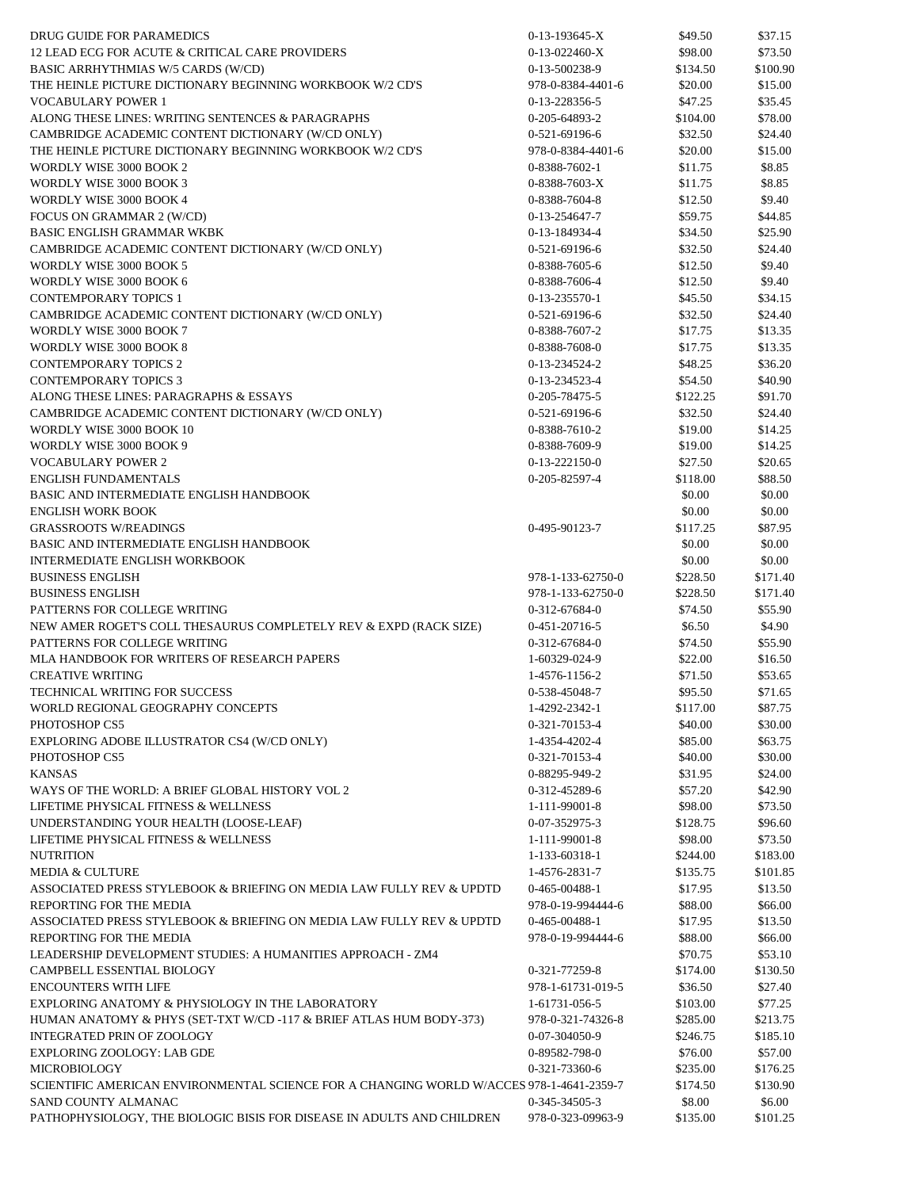| DRUG GUIDE FOR PARAMEDICS                                                                | $0-13-193645-X$                | \$49.50  | \$37.15            |
|------------------------------------------------------------------------------------------|--------------------------------|----------|--------------------|
| 12 LEAD ECG FOR ACUTE & CRITICAL CARE PROVIDERS                                          | $0-13-022460-X$                | \$98.00  | \$73.50            |
| BASIC ARRHYTHMIAS W/5 CARDS (W/CD)                                                       | 0-13-500238-9                  | \$134.50 | \$100.90           |
| THE HEINLE PICTURE DICTIONARY BEGINNING WORKBOOK W/2 CD'S                                | 978-0-8384-4401-6              | \$20.00  | \$15.00            |
| <b>VOCABULARY POWER 1</b>                                                                | 0-13-228356-5                  | \$47.25  | \$35.45            |
| ALONG THESE LINES: WRITING SENTENCES & PARAGRAPHS                                        | 0-205-64893-2                  | \$104.00 | \$78.00            |
| CAMBRIDGE ACADEMIC CONTENT DICTIONARY (W/CD ONLY)                                        | 0-521-69196-6                  | \$32.50  | \$24.40            |
| THE HEINLE PICTURE DICTIONARY BEGINNING WORKBOOK W/2 CD'S                                | 978-0-8384-4401-6              | \$20.00  | \$15.00            |
| WORDLY WISE 3000 BOOK 2                                                                  | 0-8388-7602-1                  | \$11.75  | \$8.85             |
| WORDLY WISE 3000 BOOK 3                                                                  | 0-8388-7603-X                  | \$11.75  | \$8.85             |
| WORDLY WISE 3000 BOOK 4                                                                  | 0-8388-7604-8                  | \$12.50  | \$9.40             |
| FOCUS ON GRAMMAR 2 (W/CD)                                                                | 0-13-254647-7                  | \$59.75  | \$44.85            |
| <b>BASIC ENGLISH GRAMMAR WKBK</b>                                                        | 0-13-184934-4                  | \$34.50  | \$25.90            |
| CAMBRIDGE ACADEMIC CONTENT DICTIONARY (W/CD ONLY)                                        | 0-521-69196-6                  | \$32.50  | \$24.40            |
| WORDLY WISE 3000 BOOK 5                                                                  | 0-8388-7605-6                  | \$12.50  | \$9.40             |
| WORDLY WISE 3000 BOOK 6                                                                  | 0-8388-7606-4                  | \$12.50  | \$9.40             |
| <b>CONTEMPORARY TOPICS 1</b>                                                             | 0-13-235570-1                  | \$45.50  | \$34.15            |
| CAMBRIDGE ACADEMIC CONTENT DICTIONARY (W/CD ONLY)                                        | 0-521-69196-6                  | \$32.50  | \$24.40            |
| WORDLY WISE 3000 BOOK 7                                                                  | 0-8388-7607-2                  | \$17.75  | \$13.35            |
| WORDLY WISE 3000 BOOK 8                                                                  | 0-8388-7608-0                  | \$17.75  | \$13.35            |
| <b>CONTEMPORARY TOPICS 2</b>                                                             | 0-13-234524-2                  | \$48.25  | \$36.20            |
| <b>CONTEMPORARY TOPICS 3</b>                                                             | 0-13-234523-4                  | \$54.50  | \$40.90            |
| ALONG THESE LINES: PARAGRAPHS & ESSAYS                                                   | 0-205-78475-5                  | \$122.25 | \$91.70            |
| CAMBRIDGE ACADEMIC CONTENT DICTIONARY (W/CD ONLY)                                        | 0-521-69196-6                  | \$32.50  | \$24.40            |
| WORDLY WISE 3000 BOOK 10                                                                 | 0-8388-7610-2                  | \$19.00  | \$14.25            |
| WORDLY WISE 3000 BOOK 9                                                                  | 0-8388-7609-9                  | \$19.00  | \$14.25            |
| <b>VOCABULARY POWER 2</b>                                                                | $0-13-222150-0$                | \$27.50  | \$20.65            |
| <b>ENGLISH FUNDAMENTALS</b>                                                              | 0-205-82597-4                  | \$118.00 | \$88.50            |
| BASIC AND INTERMEDIATE ENGLISH HANDBOOK                                                  |                                | \$0.00   | \$0.00             |
| <b>ENGLISH WORK BOOK</b>                                                                 |                                | \$0.00   | \$0.00             |
| <b>GRASSROOTS W/READINGS</b>                                                             | 0-495-90123-7                  | \$117.25 | \$87.95            |
| BASIC AND INTERMEDIATE ENGLISH HANDBOOK                                                  |                                | \$0.00   | \$0.00             |
| <b>INTERMEDIATE ENGLISH WORKBOOK</b>                                                     |                                | \$0.00   | \$0.00             |
| <b>BUSINESS ENGLISH</b>                                                                  | 978-1-133-62750-0              | \$228.50 | \$171.40           |
| <b>BUSINESS ENGLISH</b>                                                                  | 978-1-133-62750-0              | \$228.50 | \$171.40           |
| PATTERNS FOR COLLEGE WRITING                                                             | 0-312-67684-0                  | \$74.50  | \$55.90            |
| NEW AMER ROGET'S COLL THESAURUS COMPLETELY REV & EXPD (RACK SIZE)                        | $0-451-20716-5$                | \$6.50   | \$4.90             |
| PATTERNS FOR COLLEGE WRITING                                                             | 0-312-67684-0                  | \$74.50  | \$55.90            |
| MLA HANDBOOK FOR WRITERS OF RESEARCH PAPERS                                              |                                |          |                    |
| <b>CREATIVE WRITING</b>                                                                  | 1-60329-024-9<br>1-4576-1156-2 | \$22.00  | \$16.50            |
| TECHNICAL WRITING FOR SUCCESS                                                            |                                | \$71.50  | \$53.65<br>\$71.65 |
|                                                                                          | 0-538-45048-7                  | \$95.50  |                    |
| WORLD REGIONAL GEOGRAPHY CONCEPTS                                                        | 1-4292-2342-1                  | \$117.00 | \$87.75            |
| PHOTOSHOP CS5                                                                            | 0-321-70153-4                  | \$40.00  | \$30.00            |
| EXPLORING ADOBE ILLUSTRATOR CS4 (W/CD ONLY)                                              | 1-4354-4202-4                  | \$85.00  | \$63.75            |
| PHOTOSHOP CS5                                                                            | 0-321-70153-4                  | \$40.00  | \$30.00            |
| <b>KANSAS</b>                                                                            | 0-88295-949-2                  | \$31.95  | \$24.00            |
| WAYS OF THE WORLD: A BRIEF GLOBAL HISTORY VOL 2                                          | 0-312-45289-6                  | \$57.20  | \$42.90            |
| LIFETIME PHYSICAL FITNESS & WELLNESS                                                     | 1-111-99001-8                  | \$98.00  | \$73.50            |
| UNDERSTANDING YOUR HEALTH (LOOSE-LEAF)                                                   | 0-07-352975-3                  | \$128.75 | \$96.60            |
| LIFETIME PHYSICAL FITNESS & WELLNESS                                                     | 1-111-99001-8                  | \$98.00  | \$73.50            |
| <b>NUTRITION</b>                                                                         | 1-133-60318-1                  | \$244.00 | \$183.00           |
| <b>MEDIA &amp; CULTURE</b>                                                               | 1-4576-2831-7                  | \$135.75 | \$101.85           |
| ASSOCIATED PRESS STYLEBOOK & BRIEFING ON MEDIA LAW FULLY REV & UPDTD                     | 0-465-00488-1                  | \$17.95  | \$13.50            |
| REPORTING FOR THE MEDIA                                                                  | 978-0-19-994444-6              | \$88.00  | \$66.00            |
| ASSOCIATED PRESS STYLEBOOK & BRIEFING ON MEDIA LAW FULLY REV & UPDTD                     | 0-465-00488-1                  | \$17.95  | \$13.50            |
| REPORTING FOR THE MEDIA                                                                  | 978-0-19-994444-6              | \$88.00  | \$66.00            |
| LEADERSHIP DEVELOPMENT STUDIES: A HUMANITIES APPROACH - ZM4                              |                                | \$70.75  | \$53.10            |
| CAMPBELL ESSENTIAL BIOLOGY                                                               | 0-321-77259-8                  | \$174.00 | \$130.50           |
| <b>ENCOUNTERS WITH LIFE</b>                                                              | 978-1-61731-019-5              | \$36.50  | \$27.40            |
| EXPLORING ANATOMY & PHYSIOLOGY IN THE LABORATORY                                         | 1-61731-056-5                  | \$103.00 | \$77.25            |
| HUMAN ANATOMY & PHYS (SET-TXT W/CD -117 & BRIEF ATLAS HUM BODY-373)                      | 978-0-321-74326-8              | \$285.00 | \$213.75           |
| <b>INTEGRATED PRIN OF ZOOLOGY</b>                                                        | 0-07-304050-9                  | \$246.75 | \$185.10           |
| EXPLORING ZOOLOGY: LAB GDE                                                               | 0-89582-798-0                  | \$76.00  | \$57.00            |
| <b>MICROBIOLOGY</b>                                                                      | 0-321-73360-6                  | \$235.00 | \$176.25           |
| SCIENTIFIC AMERICAN ENVIRONMENTAL SCIENCE FOR A CHANGING WORLD W/ACCES 978-1-4641-2359-7 |                                | \$174.50 | \$130.90           |
| SAND COUNTY ALMANAC                                                                      | 0-345-34505-3                  | \$8.00   | \$6.00             |
| PATHOPHYSIOLOGY, THE BIOLOGIC BISIS FOR DISEASE IN ADULTS AND CHILDREN                   | 978-0-323-09963-9              | \$135.00 | \$101.25           |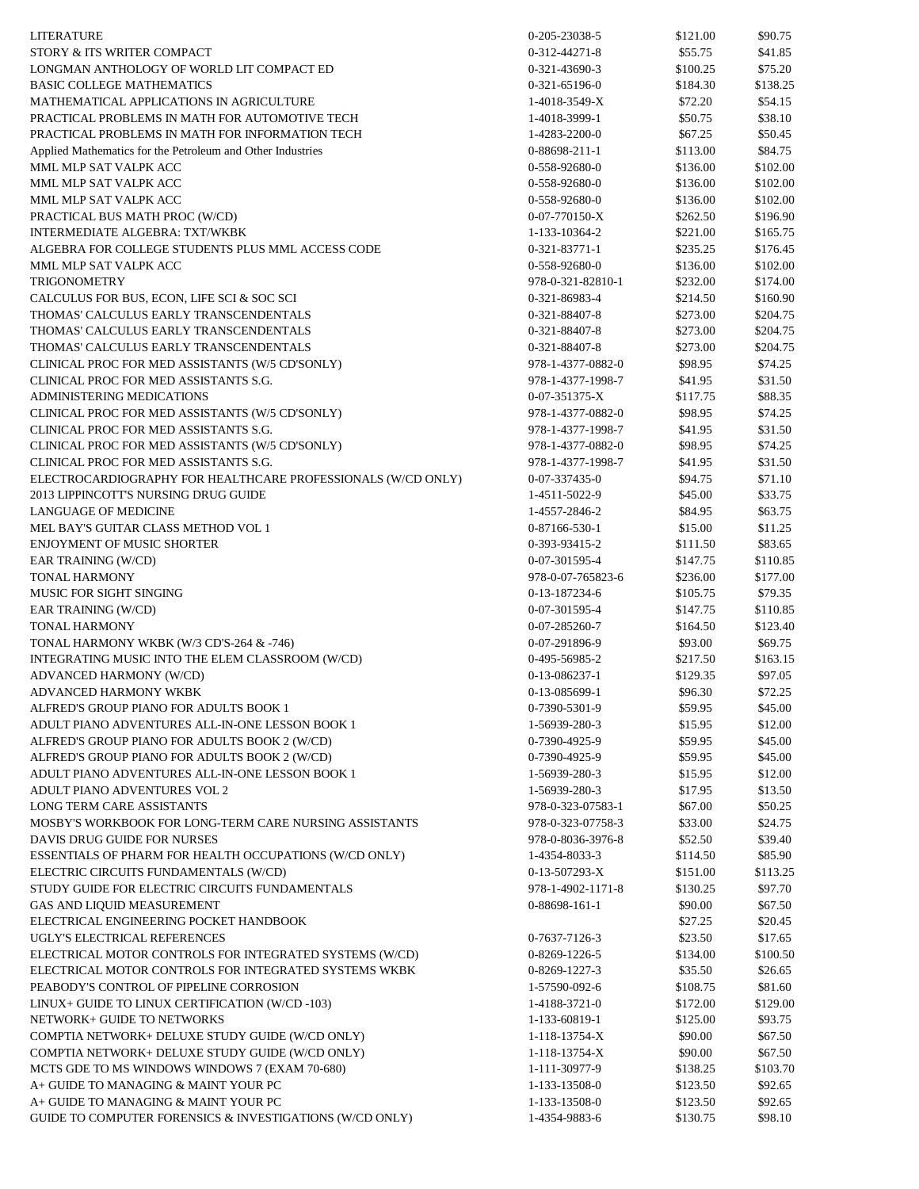| LITERATURE                                                   | 0-205-23038-5     | \$121.00 | \$90.75  |
|--------------------------------------------------------------|-------------------|----------|----------|
| STORY & ITS WRITER COMPACT                                   |                   |          |          |
|                                                              | 0-312-44271-8     | \$55.75  | \$41.85  |
| LONGMAN ANTHOLOGY OF WORLD LIT COMPACT ED                    | 0-321-43690-3     | \$100.25 | \$75.20  |
| <b>BASIC COLLEGE MATHEMATICS</b>                             | 0-321-65196-0     | \$184.30 | \$138.25 |
| MATHEMATICAL APPLICATIONS IN AGRICULTURE                     | 1-4018-3549-X     | \$72.20  | \$54.15  |
| PRACTICAL PROBLEMS IN MATH FOR AUTOMOTIVE TECH               | 1-4018-3999-1     | \$50.75  | \$38.10  |
| PRACTICAL PROBLEMS IN MATH FOR INFORMATION TECH              | 1-4283-2200-0     | \$67.25  | \$50.45  |
| Applied Mathematics for the Petroleum and Other Industries   | 0-88698-211-1     | \$113.00 | \$84.75  |
| MML MLP SAT VALPK ACC                                        | 0-558-92680-0     | \$136.00 | \$102.00 |
| MML MLP SAT VALPK ACC                                        | 0-558-92680-0     | \$136.00 | \$102.00 |
| MML MLP SAT VALPK ACC                                        | 0-558-92680-0     | \$136.00 | \$102.00 |
| PRACTICAL BUS MATH PROC (W/CD)                               | $0-07-770150-X$   | \$262.50 | \$196.90 |
| INTERMEDIATE ALGEBRA: TXT/WKBK                               | 1-133-10364-2     | \$221.00 | \$165.75 |
| ALGEBRA FOR COLLEGE STUDENTS PLUS MML ACCESS CODE            | 0-321-83771-1     | \$235.25 | \$176.45 |
| MML MLP SAT VALPK ACC                                        | 0-558-92680-0     | \$136.00 | \$102.00 |
| TRIGONOMETRY                                                 | 978-0-321-82810-1 | \$232.00 | \$174.00 |
| CALCULUS FOR BUS, ECON, LIFE SCI & SOC SCI                   | 0-321-86983-4     | \$214.50 | \$160.90 |
| THOMAS' CALCULUS EARLY TRANSCENDENTALS                       | 0-321-88407-8     | \$273.00 | \$204.75 |
| THOMAS' CALCULUS EARLY TRANSCENDENTALS                       | 0-321-88407-8     | \$273.00 | \$204.75 |
| THOMAS' CALCULUS EARLY TRANSCENDENTALS                       | 0-321-88407-8     | \$273.00 | \$204.75 |
| CLINICAL PROC FOR MED ASSISTANTS (W/5 CD'SONLY)              | 978-1-4377-0882-0 | \$98.95  | \$74.25  |
| CLINICAL PROC FOR MED ASSISTANTS S.G.                        | 978-1-4377-1998-7 | \$41.95  | \$31.50  |
| <b>ADMINISTERING MEDICATIONS</b>                             |                   |          | \$88.35  |
|                                                              | $0-07-351375-X$   | \$117.75 |          |
| CLINICAL PROC FOR MED ASSISTANTS (W/5 CD'SONLY)              | 978-1-4377-0882-0 | \$98.95  | \$74.25  |
| CLINICAL PROC FOR MED ASSISTANTS S.G.                        | 978-1-4377-1998-7 | \$41.95  | \$31.50  |
| CLINICAL PROC FOR MED ASSISTANTS (W/5 CD'SONLY)              | 978-1-4377-0882-0 | \$98.95  | \$74.25  |
| CLINICAL PROC FOR MED ASSISTANTS S.G.                        | 978-1-4377-1998-7 | \$41.95  | \$31.50  |
| ELECTROCARDIOGRAPHY FOR HEALTHCARE PROFESSIONALS (W/CD ONLY) | 0-07-337435-0     | \$94.75  | \$71.10  |
| 2013 LIPPINCOTT'S NURSING DRUG GUIDE                         | 1-4511-5022-9     | \$45.00  | \$33.75  |
| LANGUAGE OF MEDICINE                                         | 1-4557-2846-2     | \$84.95  | \$63.75  |
| MEL BAY'S GUITAR CLASS METHOD VOL 1                          | 0-87166-530-1     | \$15.00  | \$11.25  |
| ENJOYMENT OF MUSIC SHORTER                                   | 0-393-93415-2     | \$111.50 | \$83.65  |
| EAR TRAINING (W/CD)                                          | 0-07-301595-4     | \$147.75 | \$110.85 |
| TONAL HARMONY                                                | 978-0-07-765823-6 | \$236.00 | \$177.00 |
| MUSIC FOR SIGHT SINGING                                      | 0-13-187234-6     | \$105.75 | \$79.35  |
| EAR TRAINING (W/CD)                                          | 0-07-301595-4     | \$147.75 | \$110.85 |
| <b>TONAL HARMONY</b>                                         | 0-07-285260-7     | \$164.50 | \$123.40 |
| TONAL HARMONY WKBK (W/3 CD'S-264 & -746)                     | 0-07-291896-9     | \$93.00  | \$69.75  |
| INTEGRATING MUSIC INTO THE ELEM CLASSROOM (W/CD)             | 0-495-56985-2     | \$217.50 | \$163.15 |
| ADVANCED HARMONY (W/CD)                                      | 0-13-086237-1     | \$129.35 | \$97.05  |
| ADVANCED HARMONY WKBK                                        | 0-13-085699-1     | \$96.30  | \$72.25  |
| ALFRED'S GROUP PIANO FOR ADULTS BOOK 1                       | 0-7390-5301-9     | \$59.95  | \$45.00  |
| ADULT PIANO ADVENTURES ALL-IN-ONE LESSON BOOK 1              | 1-56939-280-3     | \$15.95  | \$12.00  |
| ALFRED'S GROUP PIANO FOR ADULTS BOOK 2 (W/CD)                | 0-7390-4925-9     | \$59.95  | \$45.00  |
| ALFRED'S GROUP PIANO FOR ADULTS BOOK 2 (W/CD)                | 0-7390-4925-9     | \$59.95  | \$45.00  |
| ADULT PIANO ADVENTURES ALL-IN-ONE LESSON BOOK 1              | 1-56939-280-3     | \$15.95  | \$12.00  |
|                                                              |                   |          |          |
| ADULT PIANO ADVENTURES VOL 2                                 | 1-56939-280-3     | \$17.95  | \$13.50  |
| LONG TERM CARE ASSISTANTS                                    | 978-0-323-07583-1 | \$67.00  | \$50.25  |
| MOSBY'S WORKBOOK FOR LONG-TERM CARE NURSING ASSISTANTS       | 978-0-323-07758-3 | \$33.00  | \$24.75  |
| DAVIS DRUG GUIDE FOR NURSES                                  | 978-0-8036-3976-8 | \$52.50  | \$39.40  |
| ESSENTIALS OF PHARM FOR HEALTH OCCUPATIONS (W/CD ONLY)       | 1-4354-8033-3     | \$114.50 | \$85.90  |
| ELECTRIC CIRCUITS FUNDAMENTALS (W/CD)                        | $0-13-507293-X$   | \$151.00 | \$113.25 |
| STUDY GUIDE FOR ELECTRIC CIRCUITS FUNDAMENTALS               | 978-1-4902-1171-8 | \$130.25 | \$97.70  |
| GAS AND LIQUID MEASUREMENT                                   | 0-88698-161-1     | \$90.00  | \$67.50  |
| ELECTRICAL ENGINEERING POCKET HANDBOOK                       |                   | \$27.25  | \$20.45  |
| UGLY'S ELECTRICAL REFERENCES                                 | 0-7637-7126-3     | \$23.50  | \$17.65  |
| ELECTRICAL MOTOR CONTROLS FOR INTEGRATED SYSTEMS (W/CD)      | 0-8269-1226-5     | \$134.00 | \$100.50 |
| ELECTRICAL MOTOR CONTROLS FOR INTEGRATED SYSTEMS WKBK        | 0-8269-1227-3     | \$35.50  | \$26.65  |
| PEABODY'S CONTROL OF PIPELINE CORROSION                      | 1-57590-092-6     | \$108.75 | \$81.60  |
| LINUX+ GUIDE TO LINUX CERTIFICATION (W/CD-103)               | 1-4188-3721-0     | \$172.00 | \$129.00 |
| NETWORK+ GUIDE TO NETWORKS                                   | 1-133-60819-1     | \$125.00 | \$93.75  |
| COMPTIA NETWORK+ DELUXE STUDY GUIDE (W/CD ONLY)              | 1-118-13754-X     | \$90.00  | \$67.50  |
| COMPTIA NETWORK+ DELUXE STUDY GUIDE (W/CD ONLY)              | 1-118-13754-X     | \$90.00  | \$67.50  |
| MCTS GDE TO MS WINDOWS WINDOWS 7 (EXAM 70-680)               | 1-111-30977-9     | \$138.25 | \$103.70 |
| A+ GUIDE TO MANAGING & MAINT YOUR PC                         | 1-133-13508-0     | \$123.50 | \$92.65  |
| A+ GUIDE TO MANAGING & MAINT YOUR PC                         | 1-133-13508-0     | \$123.50 | \$92.65  |
| GUIDE TO COMPUTER FORENSICS & INVESTIGATIONS (W/CD ONLY)     | 1-4354-9883-6     | \$130.75 | \$98.10  |
|                                                              |                   |          |          |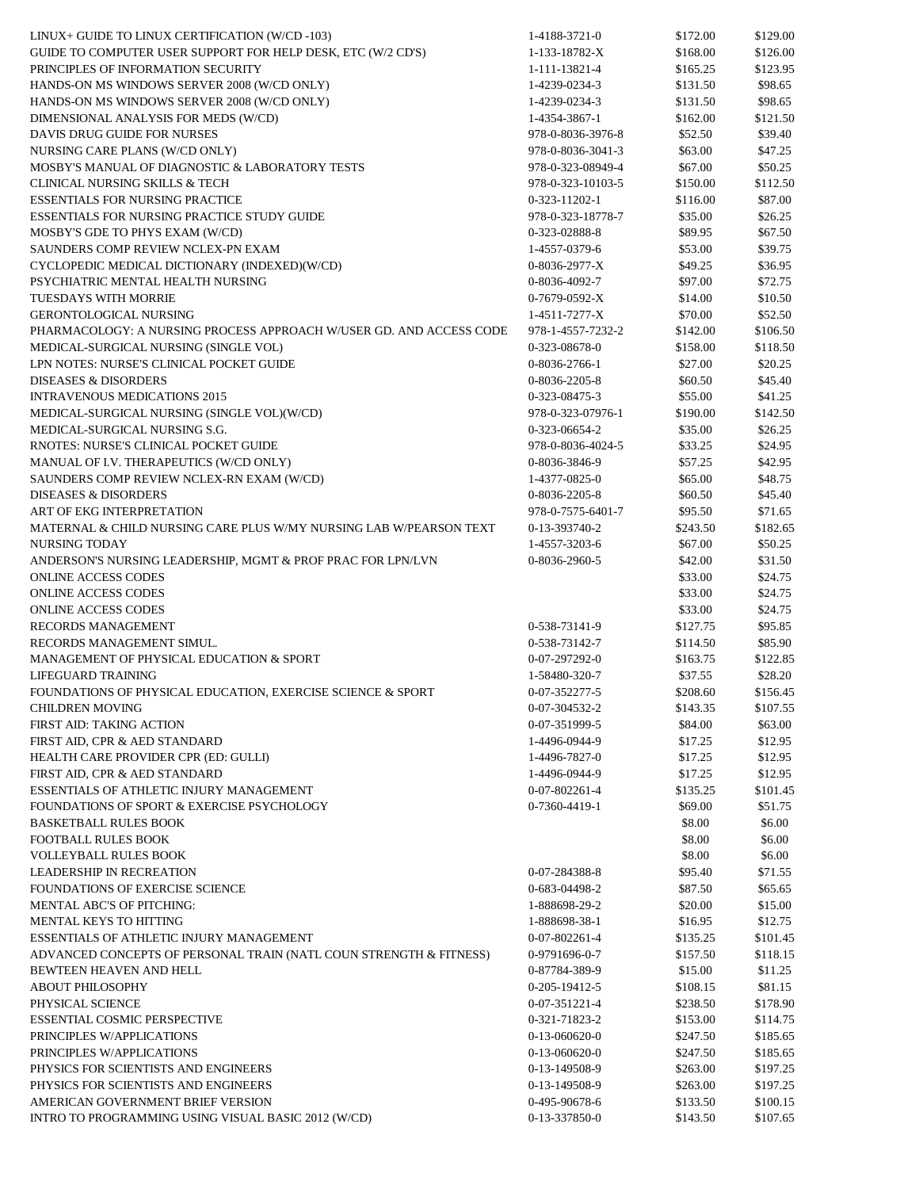| LINUX+ GUIDE TO LINUX CERTIFICATION (W/CD -103)                     | 1-4188-3721-0     | \$172.00 | \$129.00             |
|---------------------------------------------------------------------|-------------------|----------|----------------------|
| GUIDE TO COMPUTER USER SUPPORT FOR HELP DESK, ETC (W/2 CD'S)        | 1-133-18782-X     | \$168.00 | \$126.00             |
| PRINCIPLES OF INFORMATION SECURITY                                  | 1-111-13821-4     | \$165.25 | \$123.95             |
| HANDS-ON MS WINDOWS SERVER 2008 (W/CD ONLY)                         | 1-4239-0234-3     | \$131.50 | \$98.65              |
| HANDS-ON MS WINDOWS SERVER 2008 (W/CD ONLY)                         | 1-4239-0234-3     | \$131.50 | \$98.65              |
| DIMENSIONAL ANALYSIS FOR MEDS (W/CD)                                | 1-4354-3867-1     | \$162.00 | \$121.50             |
| DAVIS DRUG GUIDE FOR NURSES                                         | 978-0-8036-3976-8 | \$52.50  | \$39.40              |
| NURSING CARE PLANS (W/CD ONLY)                                      | 978-0-8036-3041-3 | \$63.00  | \$47.25              |
| MOSBY'S MANUAL OF DIAGNOSTIC & LABORATORY TESTS                     | 978-0-323-08949-4 | \$67.00  | \$50.25              |
| CLINICAL NURSING SKILLS & TECH                                      | 978-0-323-10103-5 | \$150.00 | \$112.50             |
| <b>ESSENTIALS FOR NURSING PRACTICE</b>                              | $0-323-11202-1$   | \$116.00 | \$87.00              |
| <b>ESSENTIALS FOR NURSING PRACTICE STUDY GUIDE</b>                  | 978-0-323-18778-7 | \$35.00  | \$26.25              |
| MOSBY'S GDE TO PHYS EXAM (W/CD)                                     | 0-323-02888-8     | \$89.95  | \$67.50              |
| SAUNDERS COMP REVIEW NCLEX-PN EXAM                                  | 1-4557-0379-6     | \$53.00  | \$39.75              |
| CYCLOPEDIC MEDICAL DICTIONARY (INDEXED)(W/CD)                       | $0-8036-2977-X$   | \$49.25  | \$36.95              |
| PSYCHIATRIC MENTAL HEALTH NURSING                                   | 0-8036-4092-7     | \$97.00  | \$72.75              |
| TUESDAYS WITH MORRIE                                                | $0-7679-0592-X$   | \$14.00  | \$10.50              |
| <b>GERONTOLOGICAL NURSING</b>                                       | 1-4511-7277-X     | \$70.00  | \$52.50              |
| PHARMACOLOGY: A NURSING PROCESS APPROACH W/USER GD. AND ACCESS CODE | 978-1-4557-7232-2 | \$142.00 | \$106.50             |
| MEDICAL-SURGICAL NURSING (SINGLE VOL)                               | 0-323-08678-0     | \$158.00 | \$118.50             |
| LPN NOTES: NURSE'S CLINICAL POCKET GUIDE                            | 0-8036-2766-1     | \$27.00  | \$20.25              |
| <b>DISEASES &amp; DISORDERS</b>                                     | 0-8036-2205-8     | \$60.50  | \$45.40              |
| <b>INTRAVENOUS MEDICATIONS 2015</b>                                 | 0-323-08475-3     | \$55.00  | \$41.25              |
| MEDICAL-SURGICAL NURSING (SINGLE VOL)(W/CD)                         | 978-0-323-07976-1 | \$190.00 | \$142.50             |
| MEDICAL-SURGICAL NURSING S.G.                                       | 0-323-06654-2     | \$35.00  | \$26.25              |
| RNOTES: NURSE'S CLINICAL POCKET GUIDE                               | 978-0-8036-4024-5 | \$33.25  | \$24.95              |
| MANUAL OF I.V. THERAPEUTICS (W/CD ONLY)                             | 0-8036-3846-9     | \$57.25  | \$42.95              |
| SAUNDERS COMP REVIEW NCLEX-RN EXAM (W/CD)                           | 1-4377-0825-0     | \$65.00  | \$48.75              |
| <b>DISEASES &amp; DISORDERS</b>                                     | 0-8036-2205-8     | \$60.50  | \$45.40              |
| ART OF EKG INTERPRETATION                                           | 978-0-7575-6401-7 | \$95.50  | \$71.65              |
| MATERNAL & CHILD NURSING CARE PLUS W/MY NURSING LAB W/PEARSON TEXT  | 0-13-393740-2     | \$243.50 | \$182.65             |
| NURSING TODAY                                                       | 1-4557-3203-6     | \$67.00  | \$50.25              |
| ANDERSON'S NURSING LEADERSHIP, MGMT & PROF PRAC FOR LPN/LVN         | 0-8036-2960-5     | \$42.00  | \$31.50              |
| <b>ONLINE ACCESS CODES</b>                                          |                   | \$33.00  | \$24.75              |
| <b>ONLINE ACCESS CODES</b>                                          |                   | \$33.00  | \$24.75              |
| <b>ONLINE ACCESS CODES</b>                                          |                   | \$33.00  | \$24.75              |
| RECORDS MANAGEMENT                                                  | 0-538-73141-9     | \$127.75 | \$95.85              |
| RECORDS MANAGEMENT SIMUL.                                           | 0-538-73142-7     | \$114.50 | \$85.90              |
| MANAGEMENT OF PHYSICAL EDUCATION & SPORT                            | 0-07-297292-0     | \$163.75 | \$122.85             |
| LIFEGUARD TRAINING                                                  | 1-58480-320-7     | \$37.55  | \$28.20              |
| FOUNDATIONS OF PHYSICAL EDUCATION, EXERCISE SCIENCE & SPORT         | $0-07-352277-5$   | \$208.60 | \$156.45             |
| <b>CHILDREN MOVING</b>                                              | 0-07-304532-2     | \$143.35 | \$107.55             |
|                                                                     |                   |          |                      |
| FIRST AID: TAKING ACTION                                            | 0-07-351999-5     | \$84.00  | \$63.00              |
| FIRST AID, CPR & AED STANDARD                                       | 1-4496-0944-9     | \$17.25  | \$12.95              |
| HEALTH CARE PROVIDER CPR (ED: GULLI)                                | 1-4496-7827-0     | \$17.25  | \$12.95              |
| FIRST AID, CPR & AED STANDARD                                       | 1-4496-0944-9     | \$17.25  | \$12.95              |
| <b>ESSENTIALS OF ATHLETIC INJURY MANAGEMENT</b>                     | 0-07-802261-4     | \$135.25 | \$101.45             |
| FOUNDATIONS OF SPORT & EXERCISE PSYCHOLOGY                          | 0-7360-4419-1     | \$69.00  | \$51.75              |
| <b>BASKETBALL RULES BOOK</b>                                        |                   | \$8.00   | \$6.00               |
| FOOTBALL RULES BOOK                                                 |                   | \$8.00   | \$6.00               |
| <b>VOLLEYBALL RULES BOOK</b>                                        |                   | \$8.00   | \$6.00               |
| <b>LEADERSHIP IN RECREATION</b>                                     | 0-07-284388-8     | \$95.40  | \$71.55              |
| FOUNDATIONS OF EXERCISE SCIENCE                                     | 0-683-04498-2     | \$87.50  | \$65.65              |
| MENTAL ABC'S OF PITCHING:                                           | 1-888698-29-2     | \$20.00  | \$15.00              |
| MENTAL KEYS TO HITTING                                              | 1-888698-38-1     | \$16.95  | \$12.75              |
| ESSENTIALS OF ATHLETIC INJURY MANAGEMENT                            | 0-07-802261-4     | \$135.25 | \$101.45             |
| ADVANCED CONCEPTS OF PERSONAL TRAIN (NATL COUN STRENGTH & FITNESS)  | 0-9791696-0-7     | \$157.50 | \$118.15             |
| BEWTEEN HEAVEN AND HELL                                             | 0-87784-389-9     | \$15.00  | \$11.25              |
| <b>ABOUT PHILOSOPHY</b>                                             | 0-205-19412-5     | \$108.15 | \$81.15              |
| PHYSICAL SCIENCE                                                    | 0-07-351221-4     | \$238.50 | \$178.90             |
| <b>ESSENTIAL COSMIC PERSPECTIVE</b>                                 | 0-321-71823-2     | \$153.00 | \$114.75             |
| PRINCIPLES W/APPLICATIONS                                           | $0-13-060620-0$   | \$247.50 | \$185.65             |
| PRINCIPLES W/APPLICATIONS                                           | $0-13-060620-0$   | \$247.50 | \$185.65             |
| PHYSICS FOR SCIENTISTS AND ENGINEERS                                | 0-13-149508-9     | \$263.00 | \$197.25             |
| PHYSICS FOR SCIENTISTS AND ENGINEERS                                | 0-13-149508-9     | \$263.00 | \$197.25             |
| AMERICAN GOVERNMENT BRIEF VERSION                                   |                   |          |                      |
|                                                                     | 0-495-90678-6     | \$133.50 | \$100.15<br>\$107.65 |